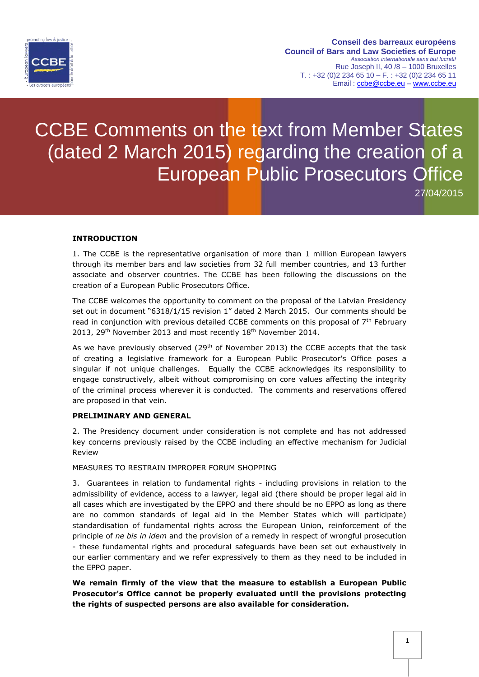

# CCBE Comments on the text from Member States (dated 2 March 2015) regarding the creation of a European Public Prosecutors Office

27/04/2015

### **INTRODUCTION**

1. The CCBE is the representative organisation of more than 1 million European lawyers through its member bars and law societies from 32 full member countries, and 13 further associate and observer countries. The CCBE has been following the discussions on the creation of a European Public Prosecutors Office.

The CCBE welcomes the opportunity to comment on the proposal of the Latvian Presidency set out in document "6318/1/15 revision 1" dated 2 March 2015. Our comments should be read in conjunction with previous detailed CCBE comments on this proposal of 7<sup>th</sup> February 2013, 29<sup>th</sup> November 2013 and most recently 18<sup>th</sup> November 2014.

As we have previously observed  $(29<sup>th</sup>$  of November 2013) the CCBE accepts that the task of creating a legislative framework for a European Public Prosecutor's Office poses a singular if not unique challenges. Equally the CCBE acknowledges its responsibility to engage constructively, albeit without compromising on core values affecting the integrity of the criminal process wherever it is conducted. The comments and reservations offered are proposed in that vein.

#### **PRELIMINARY AND GENERAL**

2. The Presidency document under consideration is not complete and has not addressed key concerns previously raised by the CCBE including an effective mechanism for Judicial Review

#### MEASURES TO RESTRAIN IMPROPER FORUM SHOPPING

3. Guarantees in relation to fundamental rights - including provisions in relation to the admissibility of evidence, access to a lawyer, legal aid (there should be proper legal aid in all cases which are investigated by the EPPO and there should be no EPPO as long as there are no common standards of legal aid in the Member States which will participate) standardisation of fundamental rights across the European Union, reinforcement of the principle of *ne bis in idem* and the provision of a remedy in respect of wrongful prosecution - these fundamental rights and procedural safeguards have been set out exhaustively in our earlier commentary and we refer expressively to them as they need to be included in the EPPO paper.

**We remain firmly of the view that the measure to establish a European Public Prosecutor's Office cannot be properly evaluated until the provisions protecting the rights of suspected persons are also available for consideration.**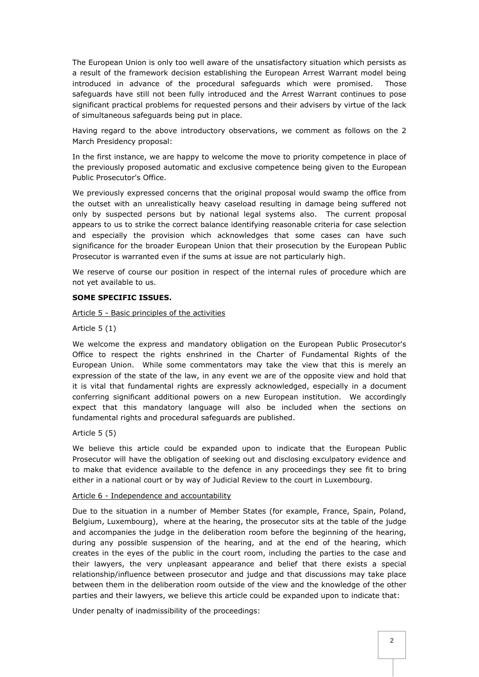The European Union is only too well aware of the unsatisfactory situation which persists as a result of the framework decision establishing the European Arrest Warrant model being introduced in advance of the procedural safeguards which were promised. Those safeguards have still not been fully introduced and the Arrest Warrant continues to pose significant practical problems for requested persons and their advisers by virtue of the lack of simultaneous safeguards being put in place.

Having regard to the above introductory observations, we comment as follows on the 2 March Presidency proposal:

In the first instance, we are happy to welcome the move to priority competence in place of the previously proposed automatic and exclusive competence being given to the European Public Prosecutor's Office.

We previously expressed concerns that the original proposal would swamp the office from the outset with an unrealistically heavy caseload resulting in damage being suffered not only by suspected persons but by national legal systems also. The current proposal appears to us to strike the correct balance identifying reasonable criteria for case selection and especially the provision which acknowledges that some cases can have such significance for the broader European Union that their prosecution by the European Public Prosecutor is warranted even if the sums at issue are not particularly high.

We reserve of course our position in respect of the internal rules of procedure which are not yet available to us.

#### **SOME SPECIFIC ISSUES.**

#### Article 5 - Basic principles of the activities

Article 5 (1)

We welcome the express and mandatory obligation on the European Public Prosecutor's Office to respect the rights enshrined in the Charter of Fundamental Rights of the European Union. While some commentators may take the view that this is merely an expression of the state of the law, in any event we are of the opposite view and hold that it is vital that fundamental rights are expressly acknowledged, especially in a document conferring significant additional powers on a new European institution. We accordingly expect that this mandatory language will also be included when the sections on fundamental rights and procedural safeguards are published.

#### Article 5 (5)

We believe this article could be expanded upon to indicate that the European Public Prosecutor will have the obligation of seeking out and disclosing exculpatory evidence and to make that evidence available to the defence in any proceedings they see fit to bring either in a national court or by way of Judicial Review to the court in Luxembourg.

#### Article 6 - Independence and accountability

Due to the situation in a number of Member States (for example, France, Spain, Poland, Belgium, Luxembourg), where at the hearing, the prosecutor sits at the table of the judge and accompanies the judge in the deliberation room before the beginning of the hearing, during any possible suspension of the hearing, and at the end of the hearing, which creates in the eyes of the public in the court room, including the parties to the case and their lawyers, the very unpleasant appearance and belief that there exists a special relationship/influence between prosecutor and judge and that discussions may take place between them in the deliberation room outside of the view and the knowledge of the other parties and their lawyers, we believe this article could be expanded upon to indicate that:

Under penalty of inadmissibility of the proceedings: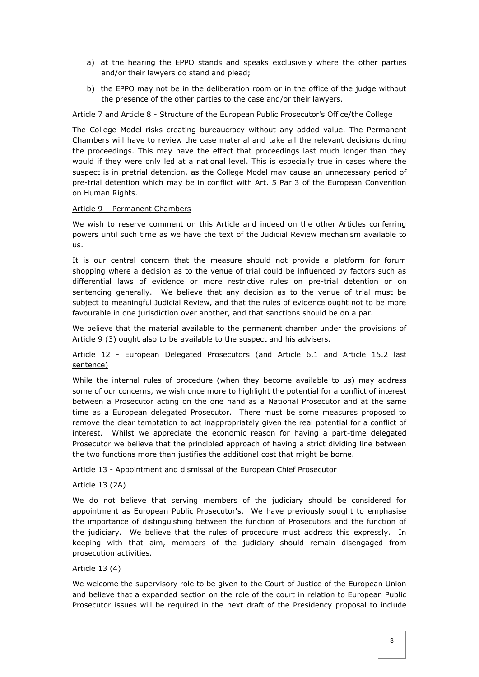- a) at the hearing the EPPO stands and speaks exclusively where the other parties and/or their lawyers do stand and plead;
- b) the EPPO may not be in the deliberation room or in the office of the judge without the presence of the other parties to the case and/or their lawyers.

#### Article 7 and Article 8 - Structure of the European Public Prosecutor's Office/the College

The College Model risks creating bureaucracy without any added value. The Permanent Chambers will have to review the case material and take all the relevant decisions during the proceedings. This may have the effect that proceedings last much longer than they would if they were only led at a national level. This is especially true in cases where the suspect is in pretrial detention, as the College Model may cause an unnecessary period of pre-trial detention which may be in conflict with Art. 5 Par 3 of the European Convention on Human Rights.

#### Article 9 – Permanent Chambers

We wish to reserve comment on this Article and indeed on the other Articles conferring powers until such time as we have the text of the Judicial Review mechanism available to us.

It is our central concern that the measure should not provide a platform for forum shopping where a decision as to the venue of trial could be influenced by factors such as differential laws of evidence or more restrictive rules on pre-trial detention or on sentencing generally. We believe that any decision as to the venue of trial must be subject to meaningful Judicial Review, and that the rules of evidence ought not to be more favourable in one jurisdiction over another, and that sanctions should be on a par.

We believe that the material available to the permanent chamber under the provisions of Article 9 (3) ought also to be available to the suspect and his advisers.

#### Article 12 - European Delegated Prosecutors (and Article 6.1 and Article 15.2 last sentence)

While the internal rules of procedure (when they become available to us) may address some of our concerns, we wish once more to highlight the potential for a conflict of interest between a Prosecutor acting on the one hand as a National Prosecutor and at the same time as a European delegated Prosecutor. There must be some measures proposed to remove the clear temptation to act inappropriately given the real potential for a conflict of interest. Whilst we appreciate the economic reason for having a part-time delegated Prosecutor we believe that the principled approach of having a strict dividing line between the two functions more than justifies the additional cost that might be borne.

#### Article 13 - Appointment and dismissal of the European Chief Prosecutor

#### Article 13 (2A)

We do not believe that serving members of the judiciary should be considered for appointment as European Public Prosecutor's. We have previously sought to emphasise the importance of distinguishing between the function of Prosecutors and the function of the judiciary. We believe that the rules of procedure must address this expressly. In keeping with that aim, members of the judiciary should remain disengaged from prosecution activities.

#### Article 13 (4)

We welcome the supervisory role to be given to the Court of Justice of the European Union and believe that a expanded section on the role of the court in relation to European Public Prosecutor issues will be required in the next draft of the Presidency proposal to include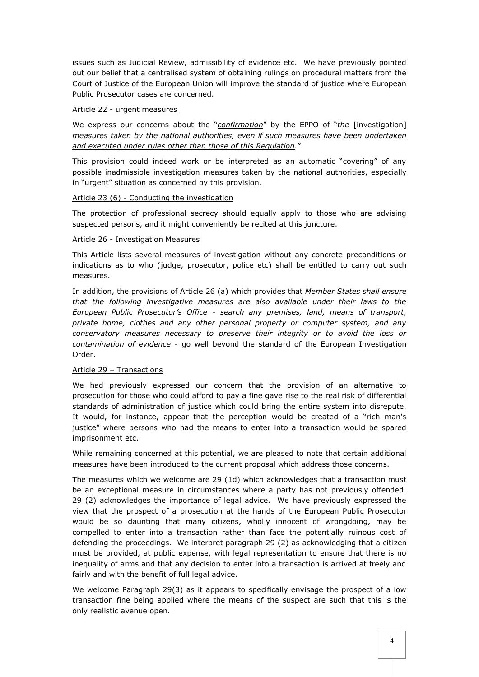issues such as Judicial Review, admissibility of evidence etc. We have previously pointed out our belief that a centralised system of obtaining rulings on procedural matters from the Court of Justice of the European Union will improve the standard of justice where European Public Prosecutor cases are concerned.

#### Article 22 - urgent measures

We express our concerns about the "*confirmation*" by the EPPO of "*the* [investigation] *measures taken by the national authorities, even if such measures have been undertaken and executed under rules other than those of this Regulation.*"

This provision could indeed work or be interpreted as an automatic "covering" of any possible inadmissible investigation measures taken by the national authorities, especially in "urgent" situation as concerned by this provision.

#### Article 23 (6) - Conducting the investigation

The protection of professional secrecy should equally apply to those who are advising suspected persons, and it might conveniently be recited at this juncture.

#### Article 26 - Investigation Measures

This Article lists several measures of investigation without any concrete preconditions or indications as to who (judge, prosecutor, police etc) shall be entitled to carry out such measures.

In addition, the provisions of Article 26 (a) which provides that *Member States shall ensure that the following investigative measures are also available under their laws to the European Public Prosecutor's Office - search any premises, land, means of transport, private home, clothes and any other personal property or computer system, and any conservatory measures necessary to preserve their integrity or to avoid the loss or contamination of evidence* - go well beyond the standard of the European Investigation Order.

#### Article 29 – Transactions

We had previously expressed our concern that the provision of an alternative to prosecution for those who could afford to pay a fine gave rise to the real risk of differential standards of administration of justice which could bring the entire system into disrepute. It would, for instance, appear that the perception would be created of a "rich man's justice" where persons who had the means to enter into a transaction would be spared imprisonment etc.

While remaining concerned at this potential, we are pleased to note that certain additional measures have been introduced to the current proposal which address those concerns.

The measures which we welcome are 29 (1d) which acknowledges that a transaction must be an exceptional measure in circumstances where a party has not previously offended. 29 (2) acknowledges the importance of legal advice. We have previously expressed the view that the prospect of a prosecution at the hands of the European Public Prosecutor would be so daunting that many citizens, wholly innocent of wrongdoing, may be compelled to enter into a transaction rather than face the potentially ruinous cost of defending the proceedings. We interpret paragraph 29 (2) as acknowledging that a citizen must be provided, at public expense, with legal representation to ensure that there is no inequality of arms and that any decision to enter into a transaction is arrived at freely and fairly and with the benefit of full legal advice.

We welcome Paragraph 29(3) as it appears to specifically envisage the prospect of a low transaction fine being applied where the means of the suspect are such that this is the only realistic avenue open.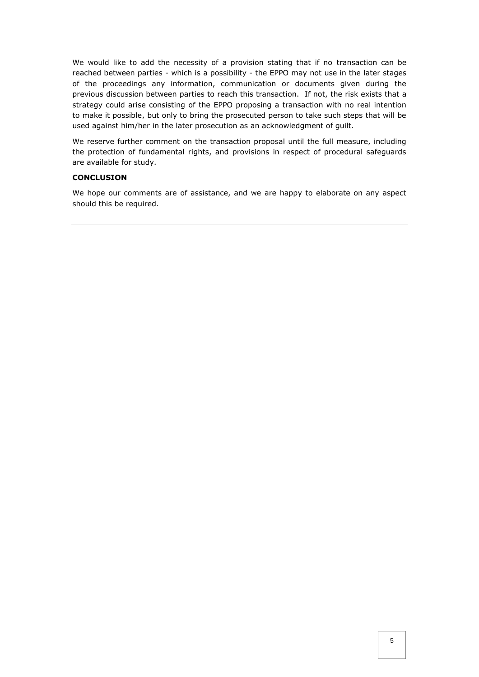We would like to add the necessity of a provision stating that if no transaction can be reached between parties - which is a possibility - the EPPO may not use in the later stages of the proceedings any information, communication or documents given during the previous discussion between parties to reach this transaction. If not, the risk exists that a strategy could arise consisting of the EPPO proposing a transaction with no real intention to make it possible, but only to bring the prosecuted person to take such steps that will be used against him/her in the later prosecution as an acknowledgment of guilt.

We reserve further comment on the transaction proposal until the full measure, including the protection of fundamental rights, and provisions in respect of procedural safeguards are available for study.

#### **CONCLUSION**

We hope our comments are of assistance, and we are happy to elaborate on any aspect should this be required.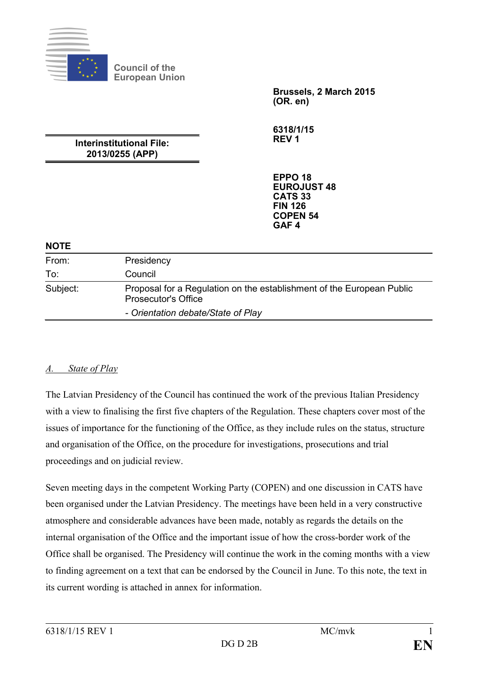

**Brussels, 2 March 2015 (OR. en)**

**6318/1/15 REV 1**

**Interinstitutional File: 2013/0255 (APP)**

**Council of the European Union**

> **EPPO 18 EUROJUST 48 CATS 33 FIN 126 COPEN 54 GAF 4**

| <b>NOTE</b> |                                                                                                     |
|-------------|-----------------------------------------------------------------------------------------------------|
| From:       | Presidency                                                                                          |
| To:         | Council                                                                                             |
| Subject:    | Proposal for a Regulation on the establishment of the European Public<br><b>Prosecutor's Office</b> |
|             | - Orientation debate/State of Play                                                                  |

# *A. State of Play*

The Latvian Presidency of the Council has continued the work of the previous Italian Presidency with a view to finalising the first five chapters of the Regulation. These chapters cover most of the issues of importance for the functioning of the Office, as they include rules on the status, structure and organisation of the Office, on the procedure for investigations, prosecutions and trial proceedings and on judicial review.

Seven meeting days in the competent Working Party (COPEN) and one discussion in CATS have been organised under the Latvian Presidency. The meetings have been held in a very constructive atmosphere and considerable advances have been made, notably as regards the details on the internal organisation of the Office and the important issue of how the cross-border work of the Office shall be organised. The Presidency will continue the work in the coming months with a view to finding agreement on a text that can be endorsed by the Council in June. To this note, the text in its current wording is attached in annex for information.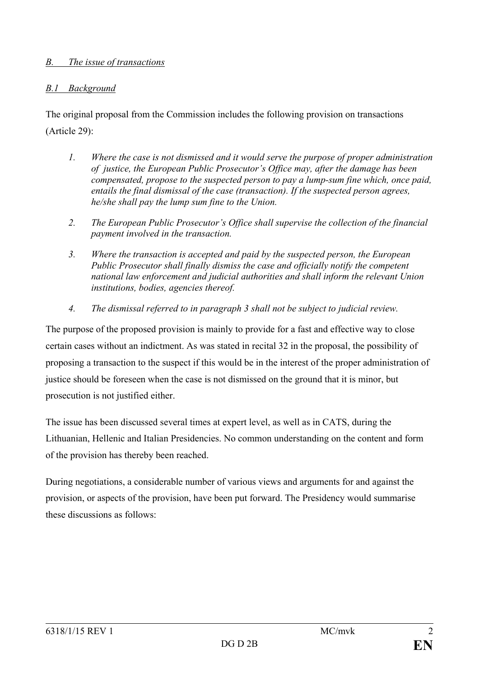# *B. The issue of transactions*

# *B.1 Background*

The original proposal from the Commission includes the following provision on transactions (Article 29):

- *1. Where the case is not dismissed and it would serve the purpose of proper administration of justice, the European Public Prosecutor's Office may, after the damage has been compensated, propose to the suspected person to pay a lump-sum fine which, once paid, entails the final dismissal of the case (transaction). If the suspected person agrees, he/she shall pay the lump sum fine to the Union.*
- *2. The European Public Prosecutor's Office shall supervise the collection of the financial payment involved in the transaction.*
- *3. Where the transaction is accepted and paid by the suspected person, the European Public Prosecutor shall finally dismiss the case and officially notify the competent national law enforcement and judicial authorities and shall inform the relevant Union institutions, bodies, agencies thereof.*
- *4. The dismissal referred to in paragraph 3 shall not be subject to judicial review.*

The purpose of the proposed provision is mainly to provide for a fast and effective way to close certain cases without an indictment. As was stated in recital 32 in the proposal, the possibility of proposing a transaction to the suspect if this would be in the interest of the proper administration of justice should be foreseen when the case is not dismissed on the ground that it is minor, but prosecution is not justified either.

The issue has been discussed several times at expert level, as well as in CATS, during the Lithuanian, Hellenic and Italian Presidencies. No common understanding on the content and form of the provision has thereby been reached.

During negotiations, a considerable number of various views and arguments for and against the provision, or aspects of the provision, have been put forward. The Presidency would summarise these discussions as follows: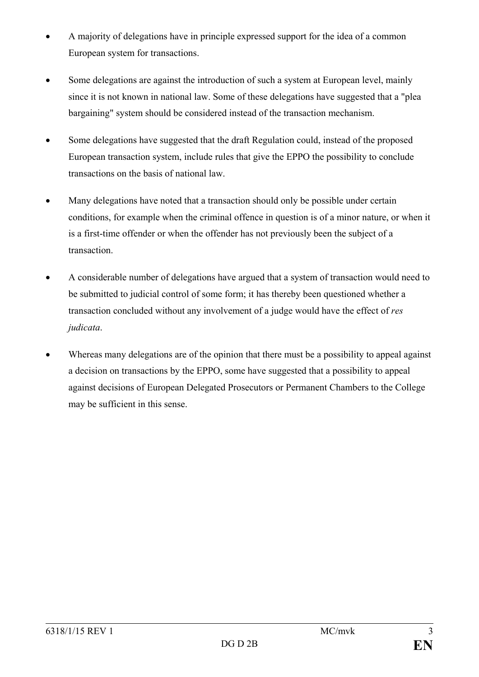- A majority of delegations have in principle expressed support for the idea of a common European system for transactions.
- Some delegations are against the introduction of such a system at European level, mainly since it is not known in national law. Some of these delegations have suggested that a "plea bargaining" system should be considered instead of the transaction mechanism.
- Some delegations have suggested that the draft Regulation could, instead of the proposed European transaction system, include rules that give the EPPO the possibility to conclude transactions on the basis of national law.
- Many delegations have noted that a transaction should only be possible under certain conditions, for example when the criminal offence in question is of a minor nature, or when it is a first-time offender or when the offender has not previously been the subject of a transaction.
- A considerable number of delegations have argued that a system of transaction would need to be submitted to judicial control of some form; it has thereby been questioned whether a transaction concluded without any involvement of a judge would have the effect of *res judicata*.
- Whereas many delegations are of the opinion that there must be a possibility to appeal against a decision on transactions by the EPPO, some have suggested that a possibility to appeal against decisions of European Delegated Prosecutors or Permanent Chambers to the College may be sufficient in this sense.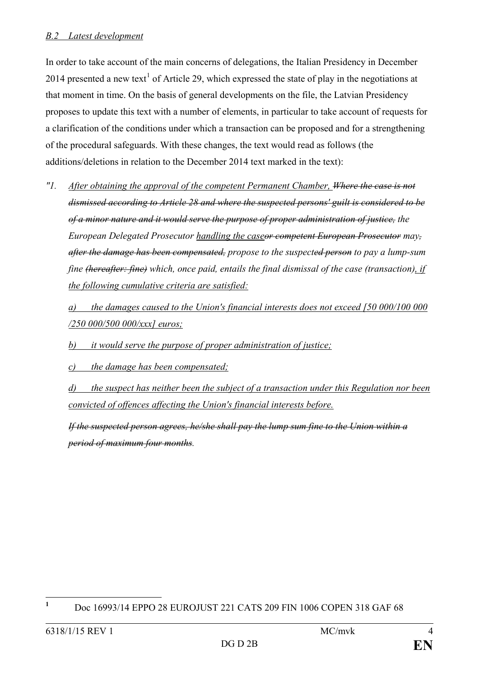In order to take account of the main concerns of delegations, the Italian Presidency in December 20[1](#page-8-0)4 presented a new text<sup>1</sup> of Article 29, which expressed the state of play in the negotiations at that moment in time. On the basis of general developments on the file, the Latvian Presidency proposes to update this text with a number of elements, in particular to take account of requests for a clarification of the conditions under which a transaction can be proposed and for a strengthening of the procedural safeguards. With these changes, the text would read as follows (the additions/deletions in relation to the December 2014 text marked in the text):

- *"1. After obtaining the approval of the competent Permanent Chamber, Where the case is not dismissed according to Article 28 and where the suspected persons' guilt is considered to be of a minor nature and it would serve the purpose of proper administration of justice, the European Delegated Prosecutor handling the caseor competent European Prosecutor may, after the damage has been compensated, propose to the suspected person to pay a lump-sum fine (hereafter: fine) which, once paid, entails the final dismissal of the case (transaction), if the following cumulative criteria are satisfied:*
	- *a) the damages caused to the Union's financial interests does not exceed [50 000/100 000 /250 000/500 000/xxx] euros;*
	- *b) it would serve the purpose of proper administration of justice;*
	- *c) the damage has been compensated;*

*d) the suspect has neither been the subject of a transaction under this Regulation nor been convicted of offences affecting the Union's financial interests before.*

*If the suspected person agrees, he/she shall pay the lump sum fine to the Union within a period of maximum four months.*

<span id="page-8-0"></span>**<sup>1</sup>** Doc 16993/14 EPPO 28 EUROJUST 221 CATS 209 FIN 1006 COPEN 318 GAF 68  $\mathbf{1}$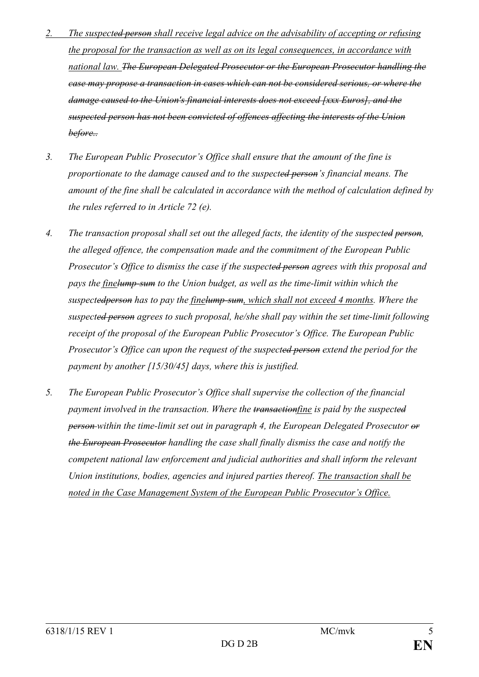- *2. The suspected person shall receive legal advice on the advisability of accepting or refusing the proposal for the transaction as well as on its legal consequences, in accordance with national law. The European Delegated Prosecutor or the European Prosecutor handling the case may propose a transaction in cases which can not be considered serious, or where the damage caused to the Union's financial interests does not exceed [xxx Euros], and the suspected person has not been convicted of offences affecting the interests of the Union before..*
- *3. The European Public Prosecutor's Office shall ensure that the amount of the fine is proportionate to the damage caused and to the suspected person's financial means. The amount of the fine shall be calculated in accordance with the method of calculation defined by the rules referred to in Article 72 (e).*
- *4. The transaction proposal shall set out the alleged facts, the identity of the suspected person, the alleged offence, the compensation made and the commitment of the European Public Prosecutor's Office to dismiss the case if the suspected person agrees with this proposal and pays the finelump-sum to the Union budget, as well as the time-limit within which the suspectedperson has to pay the finelump-sum, which shall not exceed 4 months. Where the suspected person agrees to such proposal, he/she shall pay within the set time-limit following receipt of the proposal of the European Public Prosecutor's Office. The European Public Prosecutor's Office can upon the request of the suspected person extend the period for the payment by another [15/30/45] days, where this is justified.*
- *5. The European Public Prosecutor's Office shall supervise the collection of the financial payment involved in the transaction. Where the transactionfine is paid by the suspected person within the time-limit set out in paragraph 4, the European Delegated Prosecutor or the European Prosecutor handling the case shall finally dismiss the case and notify the competent national law enforcement and judicial authorities and shall inform the relevant Union institutions, bodies, agencies and injured parties thereof. The transaction shall be noted in the Case Management System of the European Public Prosecutor's Office.*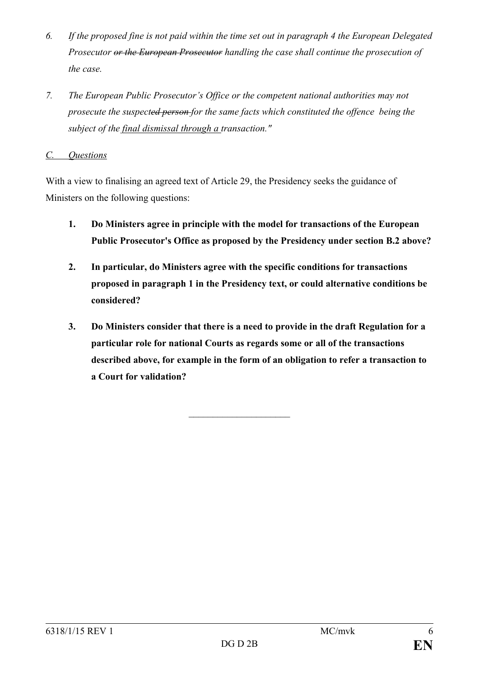- *6. If the proposed fine is not paid within the time set out in paragraph 4 the European Delegated Prosecutor or the European Prosecutor handling the case shall continue the prosecution of the case.*
- *7. The European Public Prosecutor's Office or the competent national authorities may not prosecute the suspected person for the same facts which constituted the offence being the subject of the final dismissal through a transaction."*

# *C. Questions*

With a view to finalising an agreed text of Article 29, the Presidency seeks the guidance of Ministers on the following questions:

- **1. Do Ministers agree in principle with the model for transactions of the European Public Prosecutor's Office as proposed by the Presidency under section B.2 above?**
- **2. In particular, do Ministers agree with the specific conditions for transactions proposed in paragraph 1 in the Presidency text, or could alternative conditions be considered?**
- **3. Do Ministers consider that there is a need to provide in the draft Regulation for a particular role for national Courts as regards some or all of the transactions described above, for example in the form of an obligation to refer a transaction to a Court for validation?**

 $\overline{\phantom{a}}$  , and the set of the set of the set of the set of the set of the set of the set of the set of the set of the set of the set of the set of the set of the set of the set of the set of the set of the set of the s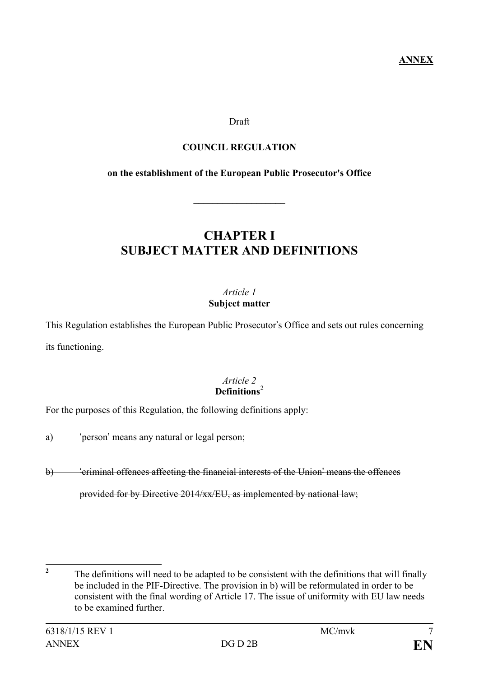**ANNEX**

# Draft

# **COUNCIL REGULATION**

# **on the establishment of the European Public Prosecutor's Office**

**\_\_\_\_\_\_\_\_\_\_\_\_\_\_\_\_\_\_\_**

# **CHAPTER I SUBJECT MATTER AND DEFINITIONS**

# *Article 1* **Subject matter**

This Regulation establishes the European Public Prosecutor's Office and sets out rules concerning its functioning.

# *Article 2* **Definitions**[2](#page-11-0)

For the purposes of this Regulation, the following definitions apply:

- a) 'person' means any natural or legal person;
- b)  $\longrightarrow$  'criminal offences affecting the financial interests of the Union' means the offences

provided for by Directive 2014/xx/EU, as implemented by national law;

<span id="page-11-0"></span>**<sup>2</sup>** The definitions will need to be adapted to be consistent with the definitions that will finally be included in the PIF-Directive. The provision in b) will be reformulated in order to be consistent with the final wording of Article 17. The issue of uniformity with EU law needs to be examined further.  $\overline{2}$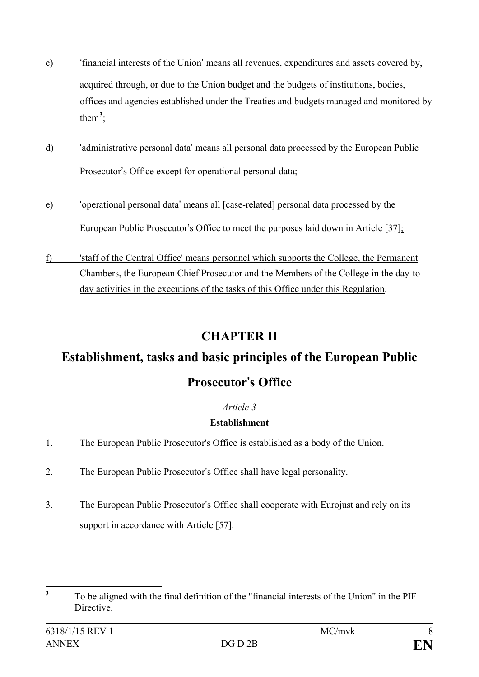- c) 'financial interests of the Union' means all revenues, expenditures and assets covered by, acquired through, or due to the Union budget and the budgets of institutions, bodies, offices and agencies established under the Treaties and budgets managed and monitored by them**[3](#page-12-0)** ;
- d) 'administrative personal data' means all personal data processed by the European Public Prosecutor's Office except for operational personal data;
- e) 'operational personal data' means all [case-related] personal data processed by the European Public Prosecutor's Office to meet the purposes laid down in Article [37];
- f) 'staff of the Central Office' means personnel which supports the College, the Permanent Chambers, the European Chief Prosecutor and the Members of the College in the day-today activities in the executions of the tasks of this Office under this Regulation.

# **CHAPTER II**

# **Establishment, tasks and basic principles of the European Public**

# **Prosecutor**'**s Office**

# *Article 3*

# **Establishment**

- 1. The European Public Prosecutor's Office is established as a body of the Union.
- 2. The European Public Prosecutor's Office shall have legal personality.
- 3. The European Public Prosecutor's Office shall cooperate with Eurojust and rely on its support in accordance with Article [57].

<span id="page-12-0"></span>**<sup>3</sup>** To be aligned with the final definition of the "financial interests of the Union" in the PIF **Directive**  $\overline{\mathbf{3}}$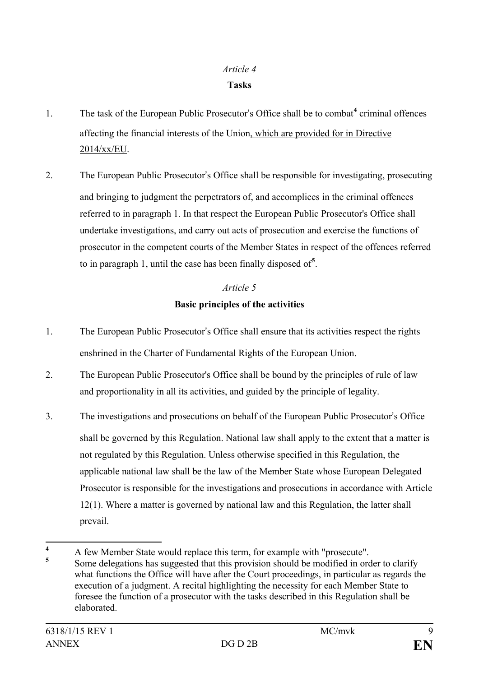# *Article 4* **Tasks**

- 1. The task of the European Public Prosecutor's Office shall be to combat**[4](#page-13-0)** criminal offences affecting the financial interests of the Union, which are provided for in Directive 2014/xx/EU.
- 2. The European Public Prosecutor's Office shall be responsible for investigating, prosecuting and bringing to judgment the perpetrators of, and accomplices in the criminal offences referred to in paragraph 1. In that respect the European Public Prosecutor's Office shall undertake investigations, and carry out acts of prosecution and exercise the functions of prosecutor in the competent courts of the Member States in respect of the offences referred to in paragraph 1, until the case has been finally disposed of**[5](#page-13-1)** .

# *Article 5*

# **Basic principles of the activities**

- 1. The European Public Prosecutor's Office shall ensure that its activities respect the rights enshrined in the Charter of Fundamental Rights of the European Union.
- 2. The European Public Prosecutor's Office shall be bound by the principles of rule of law and proportionality in all its activities, and guided by the principle of legality.
- 3. The investigations and prosecutions on behalf of the European Public Prosecutor's Office shall be governed by this Regulation. National law shall apply to the extent that a matter is not regulated by this Regulation. Unless otherwise specified in this Regulation, the applicable national law shall be the law of the Member State whose European Delegated Prosecutor is responsible for the investigations and prosecutions in accordance with Article 12(1). Where a matter is governed by national law and this Regulation, the latter shall prevail.

<span id="page-13-1"></span><span id="page-13-0"></span><sup>&</sup>lt;sup>4</sup> A few Member State would replace this term, for example with "prosecute". **<sup>5</sup>** Some delegations has suggested that this provision should be modified in order to clarify what functions the Office will have after the Court proceedings, in particular as regards the execution of a judgment. A recital highlighting the necessity for each Member State to foresee the function of a prosecutor with the tasks described in this Regulation shall be elaborated.  $\overline{\mathbf{4}}$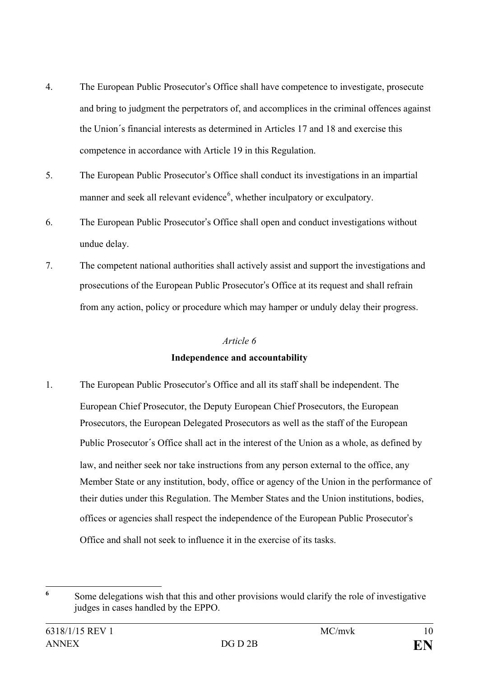- 4. The European Public Prosecutor's Office shall have competence to investigate, prosecute and bring to judgment the perpetrators of, and accomplices in the criminal offences against the Union´s financial interests as determined in Articles 17 and 18 and exercise this competence in accordance with Article 19 in this Regulation.
- 5. The European Public Prosecutor's Office shall conduct its investigations in an impartial manner and seek all relevant evidence<sup>[6](#page-14-0)</sup>, whether inculpatory or exculpatory.
- 6. The European Public Prosecutor's Office shall open and conduct investigations without undue delay.
- 7. The competent national authorities shall actively assist and support the investigations and prosecutions of the European Public Prosecutor's Office at its request and shall refrain from any action, policy or procedure which may hamper or unduly delay their progress.

# *Article 6* **Independence and accountability**

1. The European Public Prosecutor's Office and all its staff shall be independent. The European Chief Prosecutor, the Deputy European Chief Prosecutors, the European Prosecutors, the European Delegated Prosecutors as well as the staff of the European Public Prosecutor´s Office shall act in the interest of the Union as a whole, as defined by law, and neither seek nor take instructions from any person external to the office, any Member State or any institution, body, office or agency of the Union in the performance of their duties under this Regulation. The Member States and the Union institutions, bodies, offices or agencies shall respect the independence of the European Public Prosecutor's Office and shall not seek to influence it in the exercise of its tasks.

<span id="page-14-0"></span>**<sup>6</sup>** Some delegations wish that this and other provisions would clarify the role of investigative judges in cases handled by the EPPO.  $\overline{6}$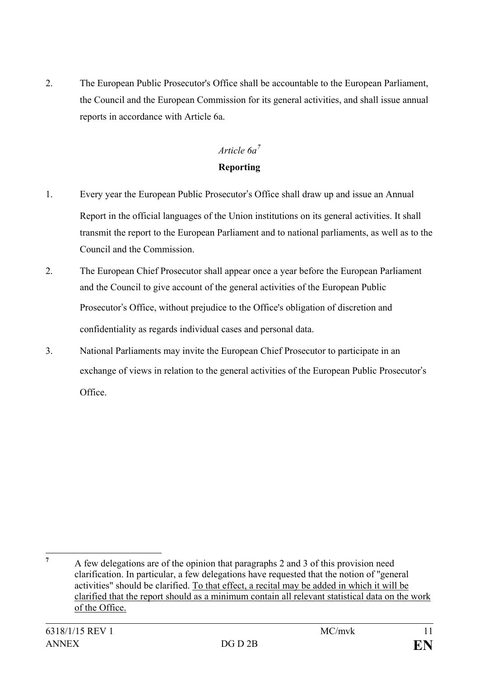2. The European Public Prosecutor's Office shall be accountable to the European Parliament, the Council and the European Commission for its general activities, and shall issue annual reports in accordance with Article 6a.

# *Article 6a[7](#page-15-0)*

# **Reporting**

- 1. Every year the European Public Prosecutor's Office shall draw up and issue an Annual Report in the official languages of the Union institutions on its general activities. It shall transmit the report to the European Parliament and to national parliaments, as well as to the Council and the Commission.
- 2. The European Chief Prosecutor shall appear once a year before the European Parliament and the Council to give account of the general activities of the European Public Prosecutor's Office, without prejudice to the Office's obligation of discretion and confidentiality as regards individual cases and personal data.
- 3. National Parliaments may invite the European Chief Prosecutor to participate in an exchange of views in relation to the general activities of the European Public Prosecutor's Office.

<span id="page-15-0"></span>**<sup>7</sup>** A few delegations are of the opinion that paragraphs 2 and 3 of this provision need clarification. In particular, a few delegations have requested that the notion of ''general activities" should be clarified. To that effect, a recital may be added in which it will be clarified that the report should as a minimum contain all relevant statistical data on the work of the Office.  $\overline{7}$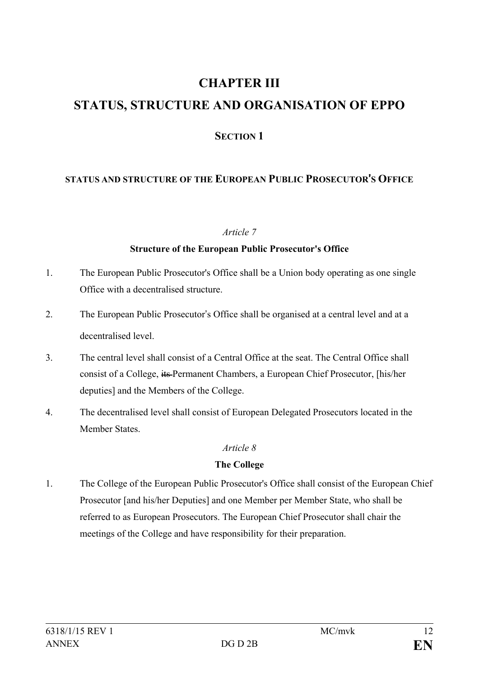# **CHAPTER III STATUS, STRUCTURE AND ORGANISATION OF EPPO**

# **SECTION 1**

# **STATUS AND STRUCTURE OF THE EUROPEAN PUBLIC PROSECUTOR**'**S OFFICE**

### *Article 7*

# **Structure of the European Public Prosecutor's Office**

- 1. The European Public Prosecutor's Office shall be a Union body operating as one single Office with a decentralised structure.
- 2. The European Public Prosecutor's Office shall be organised at a central level and at a decentralised level.
- 3. The central level shall consist of a Central Office at the seat. The Central Office shall consist of a College, its Permanent Chambers, a European Chief Prosecutor, [his/her deputies] and the Members of the College.
- 4. The decentralised level shall consist of European Delegated Prosecutors located in the Member States.

# *Article 8*

# **The College**

1. The College of the European Public Prosecutor's Office shall consist of the European Chief Prosecutor [and his/her Deputies] and one Member per Member State, who shall be referred to as European Prosecutors. The European Chief Prosecutor shall chair the meetings of the College and have responsibility for their preparation.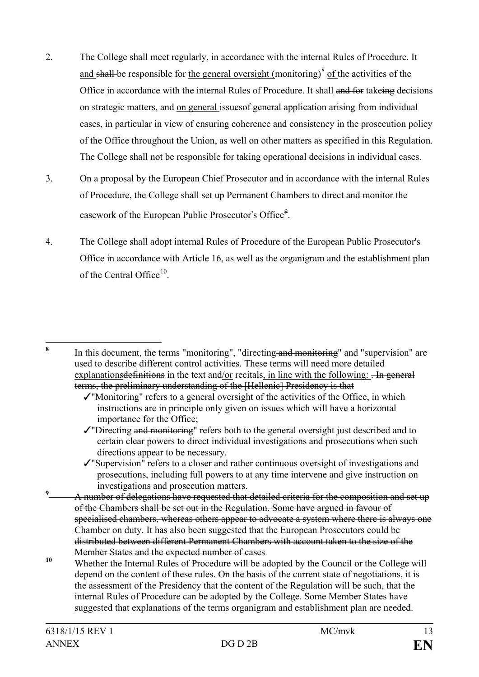- 2. The College shall meet regularly, in accordance with the internal Rules of Procedure. It and shall be responsible for the general oversight (monitoring)<sup>[8](#page-17-0)</sup> of the activities of the Office in accordance with the internal Rules of Procedure. It shall and for takeing decisions on strategic matters, and on general issues of general application arising from individual cases, in particular in view of ensuring coherence and consistency in the prosecution policy of the Office throughout the Union, as well on other matters as specified in this Regulation. The College shall not be responsible for taking operational decisions in individual cases.
- 3. On a proposal by the European Chief Prosecutor and in accordance with the internal Rules of Procedure, the College shall set up Permanent Chambers to direct and monitor the casework of the European Public Prosecutor's Office<sup>[9](#page-17-1)</sup>.
- 4. The College shall adopt internal Rules of Procedure of the European Public Prosecutor's Office in accordance with Article 16, as well as the organigram and the establishment plan of the Central Office $10$ .

In this document, the terms "monitoring", "directing and monitoring" and "supervision" are used to describe different control activities. These terms will need more detailed explanations definitions in the text and/or recitals, in line with the following:  $\overline{-}$  In general terms, the preliminary understanding of the [Hellenic] Presidency is that

- ✓"Supervision" refers to a closer and rather continuous oversight of investigations and prosecutions, including full powers to at any time intervene and give instruction on
- <span id="page-17-1"></span>investigations and prosecution matters.<br>A number of delegations have requested that detailed criteria for the composition and set up of the Chambers shall be set out in the Regulation. Some have argued in favour of specialised chambers, whereas others appear to advocate a system where there is always one Chamber on duty. It has also been suggested that the European Prosecutors could be distributed between different Permanent Chambers with account taken to the size of the Member States and the expected number of cases
- <span id="page-17-2"></span><sup>10</sup> Whether the Internal Rules of Procedure will be adopted by the Council or the College will depend on the content of these rules. On the basis of the current state of negotiations, it is the assessment of the Presidency that the content of the Regulation will be such, that the internal Rules of Procedure can be adopted by the College. Some Member States have suggested that explanations of the terms organigram and establishment plan are needed.

<span id="page-17-0"></span><sup>8</sup> 

<sup>✓</sup>"Monitoring" refers to a general oversight of the activities of the Office, in which instructions are in principle only given on issues which will have a horizontal importance for the Office;

<sup>✓</sup>"Directing and monitoring" refers both to the general oversight just described and to certain clear powers to direct individual investigations and prosecutions when such directions appear to be necessary.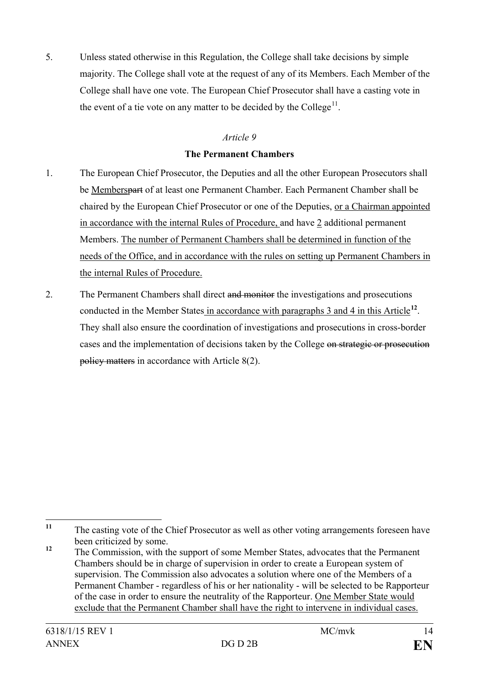5. Unless stated otherwise in this Regulation, the College shall take decisions by simple majority. The College shall vote at the request of any of its Members. Each Member of the College shall have one vote. The European Chief Prosecutor shall have a casting vote in the event of a tie vote on any matter to be decided by the College<sup>[11](#page-18-0)</sup>.

# *Article 9*

# **The Permanent Chambers**

- 1. The European Chief Prosecutor, the Deputies and all the other European Prosecutors shall be Memberspart of at least one Permanent Chamber. Each Permanent Chamber shall be chaired by the European Chief Prosecutor or one of the Deputies, or a Chairman appointed in accordance with the internal Rules of Procedure, and have 2 additional permanent Members. The number of Permanent Chambers shall be determined in function of the needs of the Office, and in accordance with the rules on setting up Permanent Chambers in the internal Rules of Procedure.
- 2. The Permanent Chambers shall direct and monitor the investigations and prosecutions conducted in the Member States in accordance with paragraphs 3 and 4 in this Article**[12](#page-18-1)**. They shall also ensure the coordination of investigations and prosecutions in cross-border cases and the implementation of decisions taken by the College on strategic or prosecution policy matters in accordance with Article 8(2).

<span id="page-18-0"></span>The casting vote of the Chief Prosecutor as well as other voting arrangements foreseen have been criticized by some.  $11$ 

<span id="page-18-1"></span><sup>&</sup>lt;sup>12</sup> The Commission, with the support of some Member States, advocates that the Permanent Chambers should be in charge of supervision in order to create a European system of supervision. The Commission also advocates a solution where one of the Members of a Permanent Chamber - regardless of his or her nationality - will be selected to be Rapporteur of the case in order to ensure the neutrality of the Rapporteur. One Member State would exclude that the Permanent Chamber shall have the right to intervene in individual cases.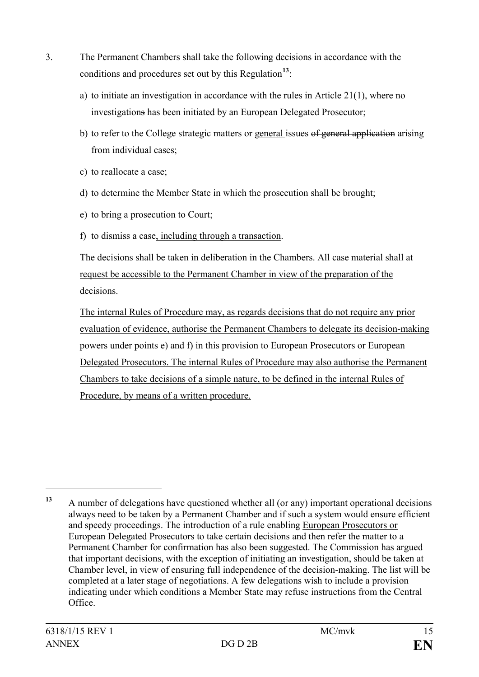- 3. The Permanent Chambers shall take the following decisions in accordance with the conditions and procedures set out by this Regulation**[13](#page-19-0)**:
	- a) to initiate an investigation in accordance with the rules in Article 21(1), where no investigations has been initiated by an European Delegated Prosecutor;
	- b) to refer to the College strategic matters or general issues of general application arising from individual cases;
	- c) to reallocate a case;
	- d) to determine the Member State in which the prosecution shall be brought;
	- e) to bring a prosecution to Court;
	- f) to dismiss a case, including through a transaction.

The decisions shall be taken in deliberation in the Chambers. All case material shall at request be accessible to the Permanent Chamber in view of the preparation of the decisions.

The internal Rules of Procedure may, as regards decisions that do not require any prior evaluation of evidence, authorise the Permanent Chambers to delegate its decision-making powers under points e) and f) in this provision to European Prosecutors or European Delegated Prosecutors. The internal Rules of Procedure may also authorise the Permanent Chambers to take decisions of a simple nature, to be defined in the internal Rules of Procedure, by means of a written procedure.

 $\overline{a}$ 

<span id="page-19-0"></span>**<sup>13</sup>** A number of delegations have questioned whether all (or any) important operational decisions always need to be taken by a Permanent Chamber and if such a system would ensure efficient and speedy proceedings. The introduction of a rule enabling European Prosecutors or European Delegated Prosecutors to take certain decisions and then refer the matter to a Permanent Chamber for confirmation has also been suggested. The Commission has argued that important decisions, with the exception of initiating an investigation, should be taken at Chamber level, in view of ensuring full independence of the decision-making. The list will be completed at a later stage of negotiations. A few delegations wish to include a provision indicating under which conditions a Member State may refuse instructions from the Central Office.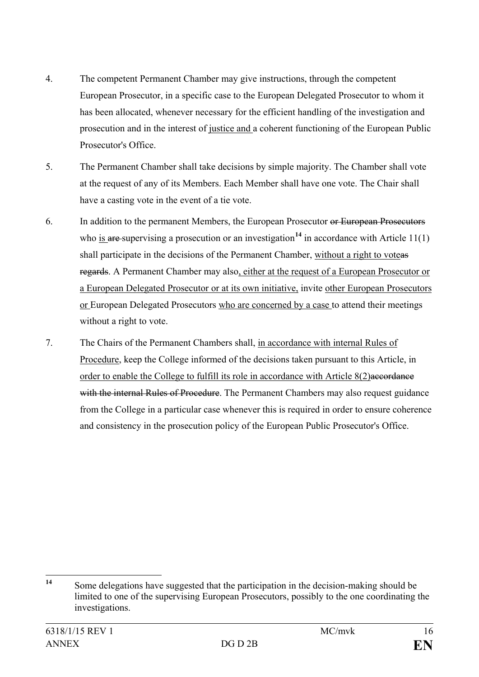- 4. The competent Permanent Chamber may give instructions, through the competent European Prosecutor, in a specific case to the European Delegated Prosecutor to whom it has been allocated, whenever necessary for the efficient handling of the investigation and prosecution and in the interest of justice and a coherent functioning of the European Public Prosecutor's Office.
- 5. The Permanent Chamber shall take decisions by simple majority. The Chamber shall vote at the request of any of its Members. Each Member shall have one vote. The Chair shall have a casting vote in the event of a tie vote.
- 6. In addition to the permanent Members, the European Prosecutor or European Prosecutors who is  $\frac{a}{\sqrt{1}}$  supervising a prosecution or an investigation<sup>[14](#page-20-0)</sup> in accordance with Article 11(1) shall participate in the decisions of the Permanent Chamber, without a right to voteas regards. A Permanent Chamber may also, either at the request of a European Prosecutor or a European Delegated Prosecutor or at its own initiative, invite other European Prosecutors or European Delegated Prosecutors who are concerned by a case to attend their meetings without a right to vote.
- 7. The Chairs of the Permanent Chambers shall, in accordance with internal Rules of Procedure, keep the College informed of the decisions taken pursuant to this Article, in order to enable the College to fulfill its role in accordance with Article 8(2)accordance with the internal Rules of Procedure. The Permanent Chambers may also request guidance from the College in a particular case whenever this is required in order to ensure coherence and consistency in the prosecution policy of the European Public Prosecutor's Office.

<span id="page-20-0"></span>**<sup>14</sup>** Some delegations have suggested that the participation in the decision-making should be limited to one of the supervising European Prosecutors, possibly to the one coordinating the investigations.  $14$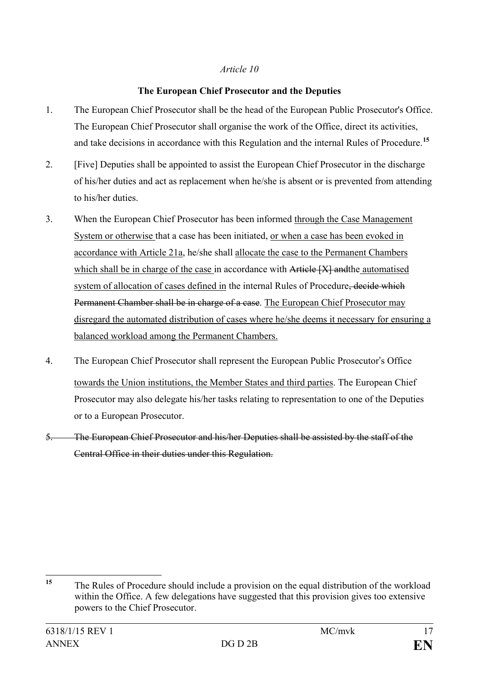# **The European Chief Prosecutor and the Deputies**

- 1. The European Chief Prosecutor shall be the head of the European Public Prosecutor's Office. The European Chief Prosecutor shall organise the work of the Office, direct its activities, and take decisions in accordance with this Regulation and the internal Rules of Procedure.**[15](#page-21-0)**
- 2. [Five] Deputies shall be appointed to assist the European Chief Prosecutor in the discharge of his/her duties and act as replacement when he/she is absent or is prevented from attending to his/her duties.
- 3. When the European Chief Prosecutor has been informed through the Case Management System or otherwise that a case has been initiated, or when a case has been evoked in accordance with Article 21a, he/she shall allocate the case to the Permanent Chambers which shall be in charge of the case in accordance with Article [X] and the automatised system of allocation of cases defined in the internal Rules of Procedure, decide which Permanent Chamber shall be in charge of a case. The European Chief Prosecutor may disregard the automated distribution of cases where he/she deems it necessary for ensuring a balanced workload among the Permanent Chambers.
- 4. The European Chief Prosecutor shall represent the European Public Prosecutor's Office towards the Union institutions, the Member States and third parties. The European Chief Prosecutor may also delegate his/her tasks relating to representation to one of the Deputies or to a European Prosecutor.
- 5. The European Chief Prosecutor and his/her Deputies shall be assisted by the staff of the Central Office in their duties under this Regulation.

<span id="page-21-0"></span>**<sup>15</sup>** The Rules of Procedure should include a provision on the equal distribution of the workload within the Office. A few delegations have suggested that this provision gives too extensive powers to the Chief Prosecutor. 15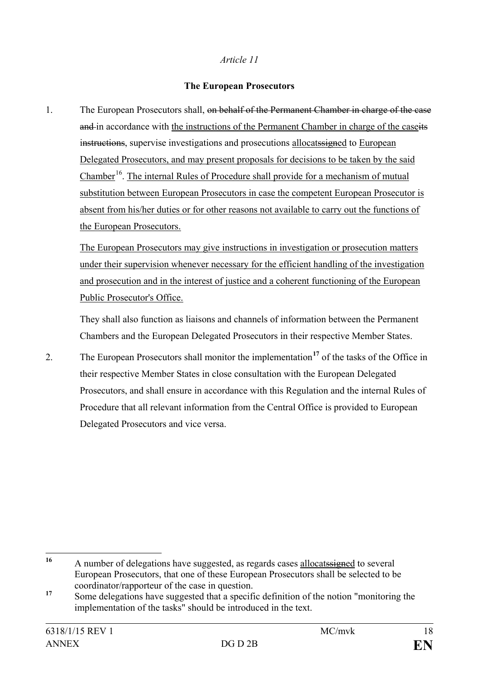### **The European Prosecutors**

1. The European Prosecutors shall, on behalf of the Permanent Chamber in charge of the case and in accordance with the instructions of the Permanent Chamber in charge of the caseits instructions, supervise investigations and prosecutions allocatssigned to European Delegated Prosecutors, and may present proposals for decisions to be taken by the said Chamber<sup>16</sup>. The internal Rules of Procedure shall provide for a mechanism of mutual substitution between European Prosecutors in case the competent European Prosecutor is absent from his/her duties or for other reasons not available to carry out the functions of the European Prosecutors.

The European Prosecutors may give instructions in investigation or prosecution matters under their supervision whenever necessary for the efficient handling of the investigation and prosecution and in the interest of justice and a coherent functioning of the European Public Prosecutor's Office.

They shall also function as liaisons and channels of information between the Permanent Chambers and the European Delegated Prosecutors in their respective Member States.

2. The European Prosecutors shall monitor the implementation<sup>[17](#page-22-1)</sup> of the tasks of the Office in their respective Member States in close consultation with the European Delegated Prosecutors, and shall ensure in accordance with this Regulation and the internal Rules of Procedure that all relevant information from the Central Office is provided to European Delegated Prosecutors and vice versa.

<span id="page-22-0"></span>A number of delegations have suggested, as regards cases allocats allocats are several European Prosecutors, that one of these European Prosecutors shall be selected to be coordinator/rapporteur of the case in question.  $16$ 

<span id="page-22-1"></span><sup>&</sup>lt;sup>17</sup> Some delegations have suggested that a specific definition of the notion "monitoring the implementation of the tasks" should be introduced in the text.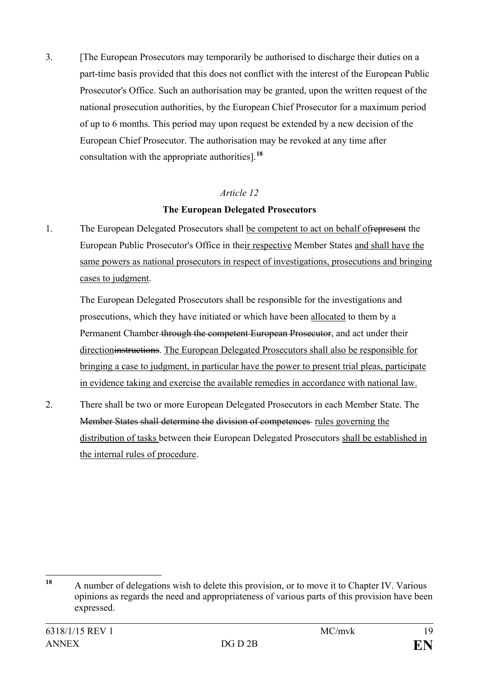3. [The European Prosecutors may temporarily be authorised to discharge their duties on a part-time basis provided that this does not conflict with the interest of the European Public Prosecutor's Office. Such an authorisation may be granted, upon the written request of the national prosecution authorities, by the European Chief Prosecutor for a maximum period of up to 6 months. This period may upon request be extended by a new decision of the European Chief Prosecutor. The authorisation may be revoked at any time after consultation with the appropriate authorities].**[18](#page-23-0)**

# *Article 12*

# **The European Delegated Prosecutors**

1. The European Delegated Prosecutors shall be competent to act on behalf ofrepresent the European Public Prosecutor's Office in their respective Member States and shall have the same powers as national prosecutors in respect of investigations, prosecutions and bringing cases to judgment.

The European Delegated Prosecutors shall be responsible for the investigations and prosecutions, which they have initiated or which have been allocated to them by a Permanent Chamber through the competent European Prosecutor, and act under their directioninstructions. The European Delegated Prosecutors shall also be responsible for bringing a case to judgment, in particular have the power to present trial pleas, participate in evidence taking and exercise the available remedies in accordance with national law.

2. There shall be two or more European Delegated Prosecutors in each Member State. The Member States shall determine the division of competences rules governing the distribution of tasks between their European Delegated Prosecutors shall be established in the internal rules of procedure.

<span id="page-23-0"></span>**<sup>18</sup>** A number of delegations wish to delete this provision, or to move it to Chapter IV. Various opinions as regards the need and appropriateness of various parts of this provision have been expressed. 18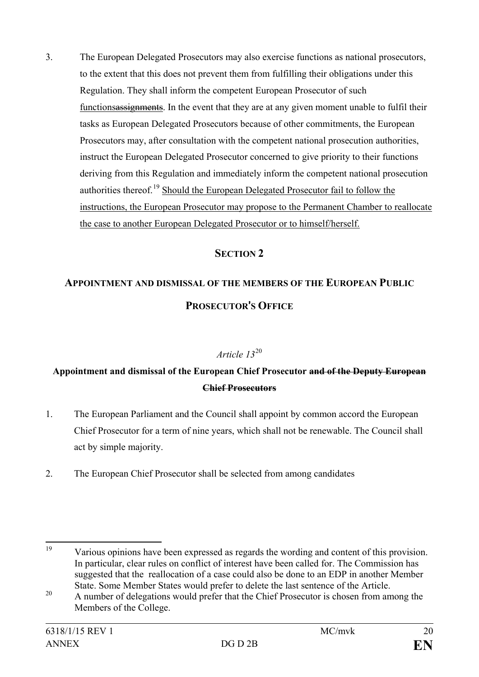3. The European Delegated Prosecutors may also exercise functions as national prosecutors, to the extent that this does not prevent them from fulfilling their obligations under this Regulation. They shall inform the competent European Prosecutor of such functionsassignments. In the event that they are at any given moment unable to fulfil their tasks as European Delegated Prosecutors because of other commitments, the European Prosecutors may, after consultation with the competent national prosecution authorities, instruct the European Delegated Prosecutor concerned to give priority to their functions deriving from this Regulation and immediately inform the competent national prosecution authorities thereof.[19](#page-24-0) Should the European Delegated Prosecutor fail to follow the instructions, the European Prosecutor may propose to the Permanent Chamber to reallocate the case to another European Delegated Prosecutor or to himself/herself.

# **SECTION 2**

# **APPOINTMENT AND DISMISSAL OF THE MEMBERS OF THE EUROPEAN PUBLIC PROSECUTOR**'**S OFFICE**

# *Article 13*[20](#page-24-1)

# **Appointment and dismissal of the European Chief Prosecutor and of the Deputy European Chief Prosecutors**

- 1. The European Parliament and the Council shall appoint by common accord the European Chief Prosecutor for a term of nine years, which shall not be renewable. The Council shall act by simple majority.
- 2. The European Chief Prosecutor shall be selected from among candidates

<span id="page-24-0"></span>Various opinions have been expressed as regards the wording and content of this provision. In particular, clear rules on conflict of interest have been called for. The Commission has suggested that the reallocation of a case could also be done to an EDP in another Member State. Some Member States would prefer to delete the last sentence of the Article. 19

<span id="page-24-1"></span><sup>&</sup>lt;sup>20</sup> A number of delegations would prefer that the Chief Prosecutor is chosen from among the Members of the College.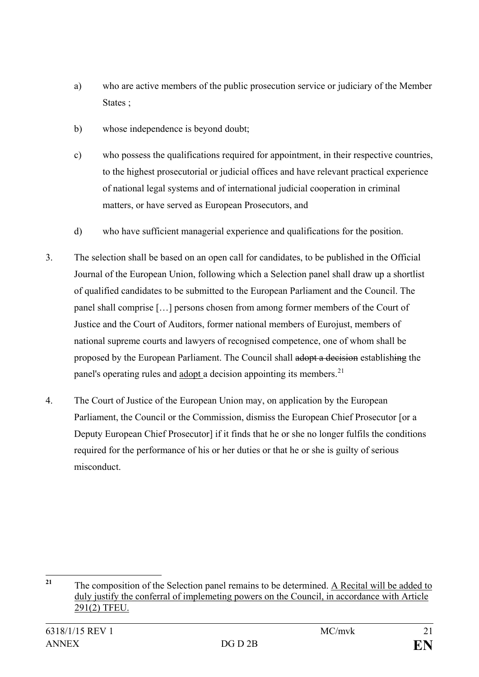- a) who are active members of the public prosecution service or judiciary of the Member States :
- b) whose independence is beyond doubt;
- c) who possess the qualifications required for appointment, in their respective countries, to the highest prosecutorial or judicial offices and have relevant practical experience of national legal systems and of international judicial cooperation in criminal matters, or have served as European Prosecutors, and
- d) who have sufficient managerial experience and qualifications for the position.
- 3. The selection shall be based on an open call for candidates, to be published in the Official Journal of the European Union, following which a Selection panel shall draw up a shortlist of qualified candidates to be submitted to the European Parliament and the Council. The panel shall comprise […] persons chosen from among former members of the Court of Justice and the Court of Auditors, former national members of Eurojust, members of national supreme courts and lawyers of recognised competence, one of whom shall be proposed by the European Parliament. The Council shall adopt a decision establishing the panel's operating rules and adopt a decision appointing its members.<sup>[21](#page-25-0)</sup>
- 4. The Court of Justice of the European Union may, on application by the European Parliament, the Council or the Commission, dismiss the European Chief Prosecutor [or a Deputy European Chief Prosecutor] if it finds that he or she no longer fulfils the conditions required for the performance of his or her duties or that he or she is guilty of serious misconduct.

<span id="page-25-0"></span>**<sup>21</sup>** The composition of the Selection panel remains to be determined. A Recital will be added to duly justify the conferral of implemeting powers on the Council, in accordance with Article 291(2) TFEU.  $21$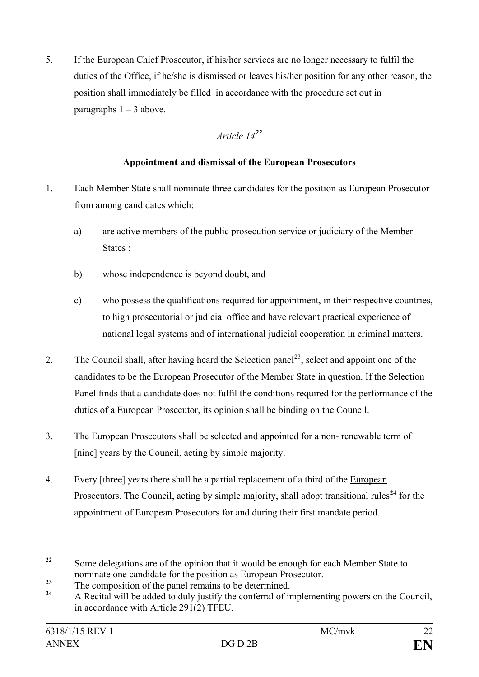5. If the European Chief Prosecutor, if his/her services are no longer necessary to fulfil the duties of the Office, if he/she is dismissed or leaves his/her position for any other reason, the position shall immediately be filled in accordance with the procedure set out in paragraphs  $1 - 3$  above.

# *Article 14[22](#page-26-0)*

# **Appointment and dismissal of the European Prosecutors**

- 1. Each Member State shall nominate three candidates for the position as European Prosecutor from among candidates which:
	- a) are active members of the public prosecution service or judiciary of the Member States ;
	- b) whose independence is beyond doubt, and
	- c) who possess the qualifications required for appointment, in their respective countries, to high prosecutorial or judicial office and have relevant practical experience of national legal systems and of international judicial cooperation in criminal matters.
- 2. The Council shall, after having heard the Selection panel<sup>[23](#page-26-1)</sup>, select and appoint one of the candidates to be the European Prosecutor of the Member State in question. If the Selection Panel finds that a candidate does not fulfil the conditions required for the performance of the duties of a European Prosecutor, its opinion shall be binding on the Council.
- 3. The European Prosecutors shall be selected and appointed for a non- renewable term of [nine] years by the Council, acting by simple majority.
- 4. Every [three] years there shall be a partial replacement of a third of the European Prosecutors. The Council, acting by simple majority, shall adopt transitional rules<sup>[24](#page-26-2)</sup> for the appointment of European Prosecutors for and during their first mandate period.

<span id="page-26-0"></span>**<sup>22</sup>** Some delegations are of the opinion that it would be enough for each Member State to nominate one candidate for the position as European Prosecutor.  $22$ 

<span id="page-26-1"></span><sup>&</sup>lt;sup>23</sup> The composition of the panel remains to be determined.

<span id="page-26-2"></span>**<sup>24</sup>** A Recital will be added to duly justify the conferral of implementing powers on the Council, in accordance with Article 291(2) TFEU.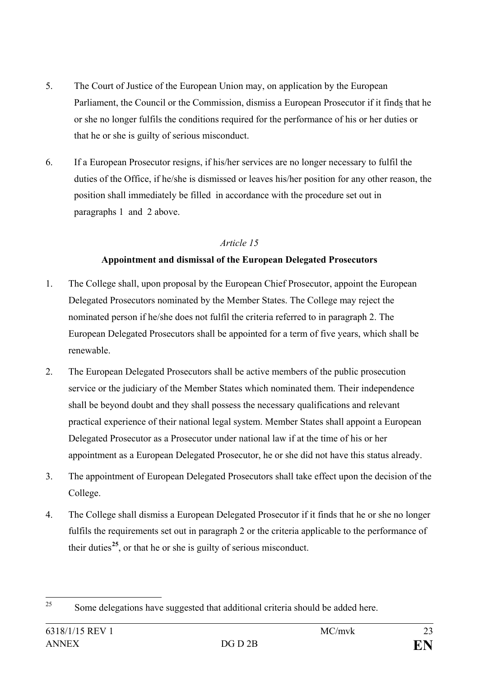- 5. The Court of Justice of the European Union may, on application by the European Parliament, the Council or the Commission, dismiss a European Prosecutor if it finds that he or she no longer fulfils the conditions required for the performance of his or her duties or that he or she is guilty of serious misconduct.
- 6. If a European Prosecutor resigns, if his/her services are no longer necessary to fulfil the duties of the Office, if he/she is dismissed or leaves his/her position for any other reason, the position shall immediately be filled in accordance with the procedure set out in paragraphs 1 and 2 above.

# **Appointment and dismissal of the European Delegated Prosecutors**

- 1. The College shall, upon proposal by the European Chief Prosecutor, appoint the European Delegated Prosecutors nominated by the Member States. The College may reject the nominated person if he/she does not fulfil the criteria referred to in paragraph 2. The European Delegated Prosecutors shall be appointed for a term of five years, which shall be renewable.
- 2. The European Delegated Prosecutors shall be active members of the public prosecution service or the judiciary of the Member States which nominated them. Their independence shall be beyond doubt and they shall possess the necessary qualifications and relevant practical experience of their national legal system. Member States shall appoint a European Delegated Prosecutor as a Prosecutor under national law if at the time of his or her appointment as a European Delegated Prosecutor, he or she did not have this status already.
- 3. The appointment of European Delegated Prosecutors shall take effect upon the decision of the College.
- 4. The College shall dismiss a European Delegated Prosecutor if it finds that he or she no longer fulfils the requirements set out in paragraph 2 or the criteria applicable to the performance of their duties**[25](#page-27-0)**, or that he or she is guilty of serious misconduct.

<span id="page-27-0"></span><sup>25</sup> Some delegations have suggested that additional criteria should be added here.  $25$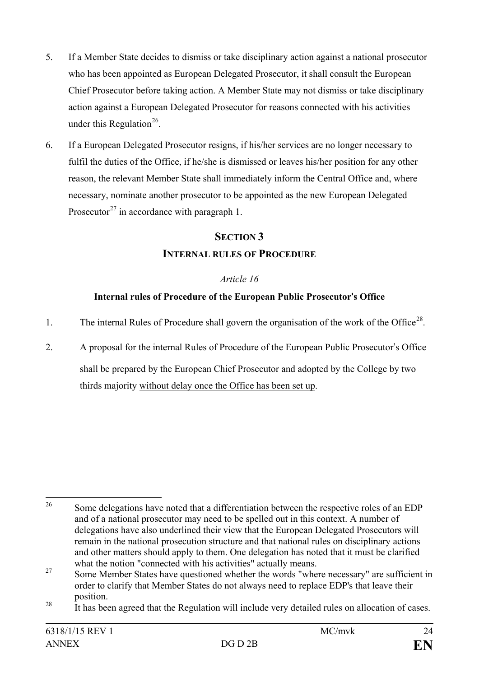- 5. If a Member State decides to dismiss or take disciplinary action against a national prosecutor who has been appointed as European Delegated Prosecutor, it shall consult the European Chief Prosecutor before taking action. A Member State may not dismiss or take disciplinary action against a European Delegated Prosecutor for reasons connected with his activities under this Regulation<sup>26</sup>.
- 6. If a European Delegated Prosecutor resigns, if his/her services are no longer necessary to fulfil the duties of the Office, if he/she is dismissed or leaves his/her position for any other reason, the relevant Member State shall immediately inform the Central Office and, where necessary, nominate another prosecutor to be appointed as the new European Delegated Prosecutor<sup>[27](#page-28-1)</sup> in accordance with paragraph 1.

# **SECTION 3 INTERNAL RULES OF PROCEDURE**

# *Article 16*

# **Internal rules of Procedure of the European Public Prosecutor**'**s Office**

- 1. The internal Rules of Procedure shall govern the organisation of the work of the Office<sup>28</sup>.
- 2. A proposal for the internal Rules of Procedure of the European Public Prosecutor's Office

shall be prepared by the European Chief Prosecutor and adopted by the College by two thirds majority without delay once the Office has been set up.

<span id="page-28-0"></span><sup>26</sup> Some delegations have noted that a differentiation between the respective roles of an EDP and of a national prosecutor may need to be spelled out in this context. A number of delegations have also underlined their view that the European Delegated Prosecutors will remain in the national prosecution structure and that national rules on disciplinary actions and other matters should apply to them. One delegation has noted that it must be clarified what the notion "connected with his activities" actually means.  $26$ 

<span id="page-28-1"></span><sup>&</sup>lt;sup>27</sup> Some Member States have questioned whether the words "where necessary" are sufficient in order to clarify that Member States do not always need to replace EDP's that leave their position.

<span id="page-28-2"></span><sup>&</sup>lt;sup>28</sup> It has been agreed that the Regulation will include very detailed rules on allocation of cases.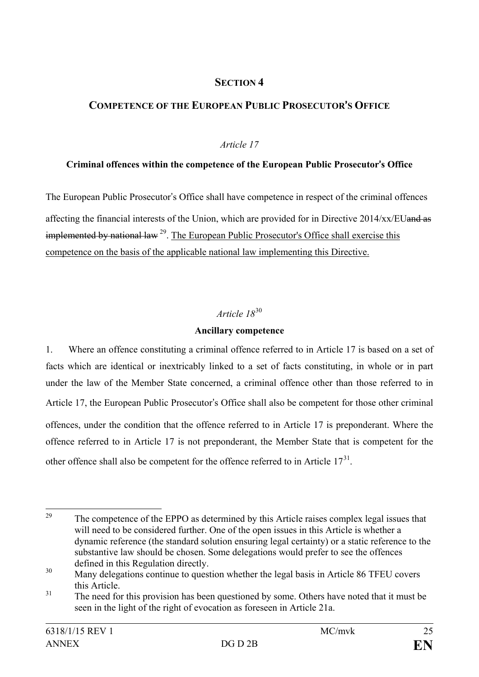# **SECTION 4**

# **COMPETENCE OF THE EUROPEAN PUBLIC PROSECUTOR**'**S OFFICE**

### *Article 17*

### **Criminal offences within the competence of the European Public Prosecutor**'**s Office**

The European Public Prosecutor's Office shall have competence in respect of the criminal offences affecting the financial interests of the Union, which are provided for in Directive 2014/xx/EUand as implemented by national law <sup>29</sup>. The European Public Prosecutor's Office shall exercise this competence on the basis of the applicable national law implementing this Directive.

# *Article 18*[30](#page-29-1)

### **Ancillary competence**

1. Where an offence constituting a criminal offence referred to in Article 17 is based on a set of facts which are identical or inextricably linked to a set of facts constituting, in whole or in part under the law of the Member State concerned, a criminal offence other than those referred to in Article 17, the European Public Prosecutor's Office shall also be competent for those other criminal offences, under the condition that the offence referred to in Article 17 is preponderant. Where the offence referred to in Article 17 is not preponderant, the Member State that is competent for the other offence shall also be competent for the offence referred to in Article  $17<sup>31</sup>$  $17<sup>31</sup>$  $17<sup>31</sup>$ .

<span id="page-29-0"></span>The competence of the EPPO as determined by this Article raises complex legal issues that will need to be considered further. One of the open issues in this Article is whether a dynamic reference (the standard solution ensuring legal certainty) or a static reference to the substantive law should be chosen. Some delegations would prefer to see the offences defined in this Regulation directly. 29

<span id="page-29-1"></span><sup>&</sup>lt;sup>30</sup> Many delegations continue to question whether the legal basis in Article 86 TFEU covers this Article.<br><sup>31</sup> The need for this provision has been questioned by some. Others have noted that it must be

<span id="page-29-2"></span>seen in the light of the right of evocation as foreseen in Article 21a.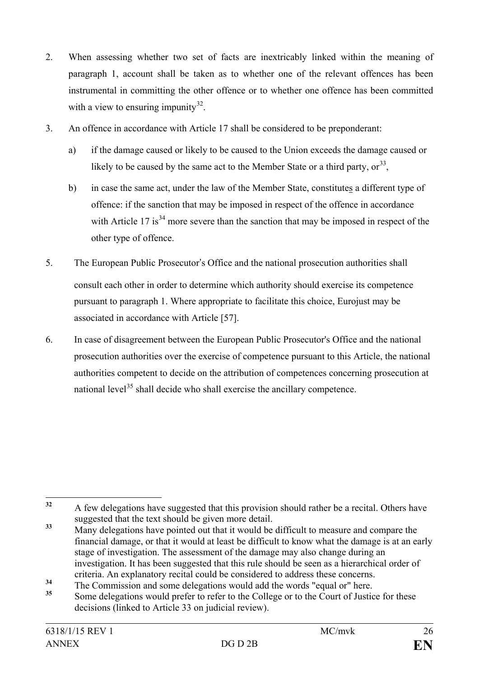- 2. When assessing whether two set of facts are inextricably linked within the meaning of paragraph 1, account shall be taken as to whether one of the relevant offences has been instrumental in committing the other offence or to whether one offence has been committed with a view to ensuring impunity<sup>32</sup>.
- 3. An offence in accordance with Article 17 shall be considered to be preponderant:
	- a) if the damage caused or likely to be caused to the Union exceeds the damage caused or likely to be caused by the same act to the Member State or a third party,  $or<sup>33</sup>$  $or<sup>33</sup>$  $or<sup>33</sup>$ ,
	- b) in case the same act, under the law of the Member State, constitutes a different type of offence: if the sanction that may be imposed in respect of the offence in accordance with Article  $17$  is<sup>[34](#page-30-2)</sup> more severe than the sanction that may be imposed in respect of the other type of offence.
- 5. The European Public Prosecutor's Office and the national prosecution authorities shall consult each other in order to determine which authority should exercise its competence pursuant to paragraph 1. Where appropriate to facilitate this choice, Eurojust may be associated in accordance with Article [57].
- 6. In case of disagreement between the European Public Prosecutor's Office and the national prosecution authorities over the exercise of competence pursuant to this Article, the national authorities competent to decide on the attribution of competences concerning prosecution at national level<sup>[35](#page-30-3)</sup> shall decide who shall exercise the ancillary competence.

<span id="page-30-0"></span>**<sup>32</sup>** A few delegations have suggested that this provision should rather be a recital. Others have suggested that the text should be given more detail.  $32$ 

<span id="page-30-1"></span><sup>&</sup>lt;sup>33</sup> Many delegations have pointed out that it would be difficult to measure and compare the financial damage, or that it would at least be difficult to know what the damage is at an early stage of investigation. The assessment of the damage may also change during an investigation. It has been suggested that this rule should be seen as a hierarchical order of criteria. An explanatory recital could be considered to address these concerns.

<span id="page-30-2"></span><sup>&</sup>lt;sup>34</sup> The Commission and some delegations would add the words "equal or" here.

<span id="page-30-3"></span>**<sup>35</sup>** Some delegations would prefer to refer to the College or to the Court of Justice for these decisions (linked to Article 33 on judicial review).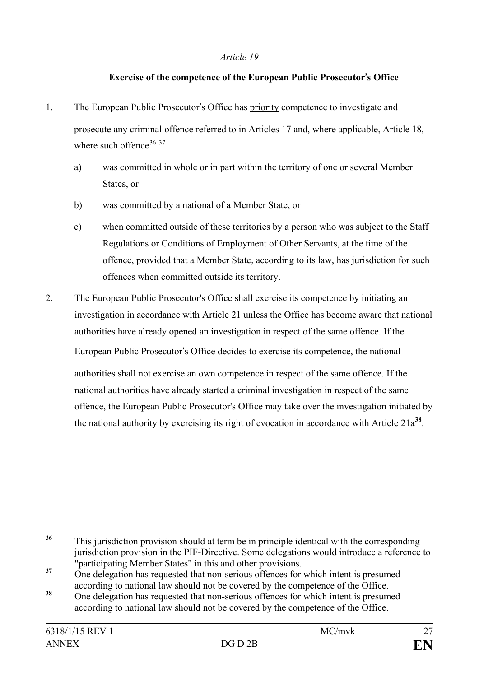# **Exercise of the competence of the European Public Prosecutor**'**s Office**

- 1. The European Public Prosecutor's Office has priority competence to investigate and prosecute any criminal offence referred to in Articles 17 and, where applicable, Article 18, where such offence $36\,37$  $36\,37$  $36\,37$ 
	- a) was committed in whole or in part within the territory of one or several Member States, or
	- b) was committed by a national of a Member State, or
	- c) when committed outside of these territories by a person who was subject to the Staff Regulations or Conditions of Employment of Other Servants, at the time of the offence, provided that a Member State, according to its law, has jurisdiction for such offences when committed outside its territory.
- 2. The European Public Prosecutor's Office shall exercise its competence by initiating an investigation in accordance with Article 21 unless the Office has become aware that national authorities have already opened an investigation in respect of the same offence. If the European Public Prosecutor's Office decides to exercise its competence, the national

authorities shall not exercise an own competence in respect of the same offence. If the national authorities have already started a criminal investigation in respect of the same offence, the European Public Prosecutor's Office may take over the investigation initiated by the national authority by exercising its right of evocation in accordance with Article 21a**[38](#page-31-2)**.

<span id="page-31-0"></span>**<sup>36</sup>** This jurisdiction provision should at term be in principle identical with the corresponding jurisdiction provision in the PIF-Directive. Some delegations would introduce a reference to 36

<span id="page-31-1"></span><sup>&</sup>quot;participating Member States" in this and other provisions. **<sup>37</sup>** One delegation has requested that non-serious offences for which intent is presumed according to national law should not be covered by the competence of the Office.

<span id="page-31-2"></span><sup>&</sup>lt;sup>38</sup> One delegation has requested that non-serious offences for which intent is presumed according to national law should not be covered by the competence of the Office.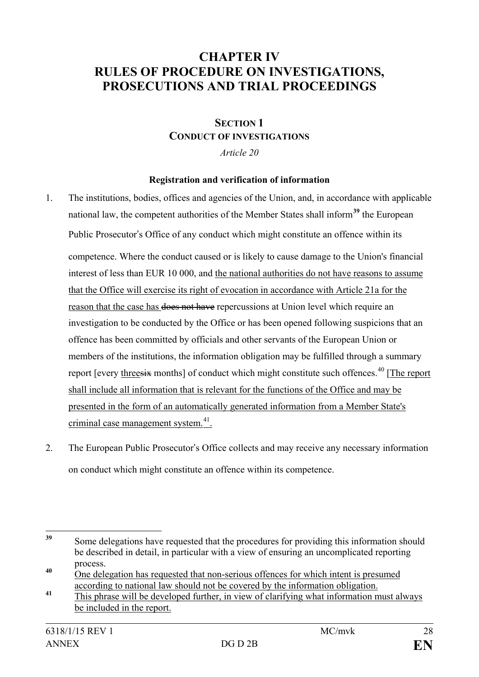# **CHAPTER IV RULES OF PROCEDURE ON INVESTIGATIONS, PROSECUTIONS AND TRIAL PROCEEDINGS**

# **SECTION 1 CONDUCT OF INVESTIGATIONS**

*Article 20*

### **Registration and verification of information**

- 1. The institutions, bodies, offices and agencies of the Union, and, in accordance with applicable national law, the competent authorities of the Member States shall inform**[39](#page-32-0)** the European Public Prosecutor's Office of any conduct which might constitute an offence within its competence. Where the conduct caused or is likely to cause damage to the Union's financial interest of less than EUR 10 000, and the national authorities do not have reasons to assume that the Office will exercise its right of evocation in accordance with Article 21a for the reason that the case has does not have repercussions at Union level which require an investigation to be conducted by the Office or has been opened following suspicions that an offence has been committed by officials and other servants of the European Union or members of the institutions, the information obligation may be fulfilled through a summary report [every threesix months] of conduct which might constitute such offences.<sup>[40](#page-32-1)</sup> [The report] shall include all information that is relevant for the functions of the Office and may be presented in the form of an automatically generated information from a Member State's criminal case management system.[41.](#page-32-2)
- 2. The European Public Prosecutor's Office collects and may receive any necessary information on conduct which might constitute an offence within its competence.

<span id="page-32-0"></span>**<sup>39</sup>** Some delegations have requested that the procedures for providing this information should be described in detail, in particular with a view of ensuring an uncomplicated reporting process.<br> **40** One delegation has requested that non-serious offences for which intent is presumed 39

<span id="page-32-1"></span>according to national law should not be covered by the information obligation.

<span id="page-32-2"></span><sup>&</sup>lt;sup>41</sup> This phrase will be developed further, in view of clarifying what information must always be included in the report.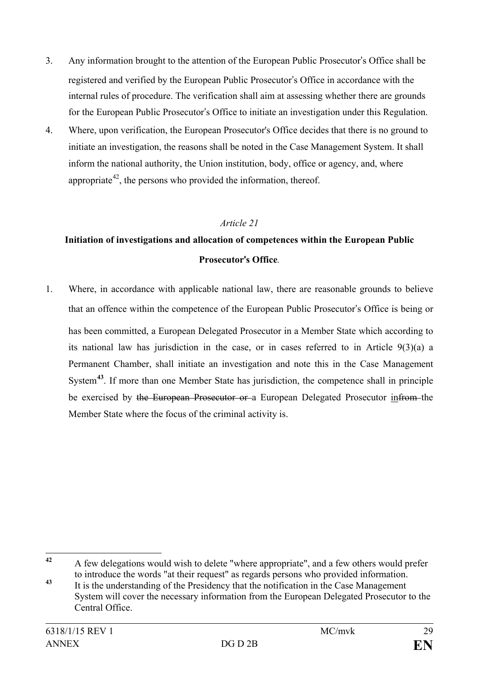- 3. Any information brought to the attention of the European Public Prosecutor's Office shall be registered and verified by the European Public Prosecutor's Office in accordance with the internal rules of procedure. The verification shall aim at assessing whether there are grounds for the European Public Prosecutor's Office to initiate an investigation under this Regulation.
- 4. Where, upon verification, the European Prosecutor's Office decides that there is no ground to initiate an investigation, the reasons shall be noted in the Case Management System. It shall inform the national authority, the Union institution, body, office or agency, and, where appropriate<sup>[42](#page-33-0)</sup>, the persons who provided the information, thereof.

# **Initiation of investigations and allocation of competences within the European Public Prosecutor**'**s Office***.*

1. Where, in accordance with applicable national law, there are reasonable grounds to believe that an offence within the competence of the European Public Prosecutor's Office is being or has been committed, a European Delegated Prosecutor in a Member State which according to its national law has jurisdiction in the case, or in cases referred to in Article 9(3)(a) a Permanent Chamber, shall initiate an investigation and note this in the Case Management System**[43](#page-33-1)**. If more than one Member State has jurisdiction, the competence shall in principle be exercised by the European Prosecutor or a European Delegated Prosecutor infrom the Member State where the focus of the criminal activity is.

<span id="page-33-0"></span>**<sup>42</sup>** A few delegations would wish to delete "where appropriate", and a few others would prefer  $\overline{A2}$ 

<span id="page-33-1"></span>to introduce the words "at their request" as regards persons who provided information.<br><sup>43</sup> It is the understanding of the Presidency that the notification in the Case Management System will cover the necessary information from the European Delegated Prosecutor to the Central Office.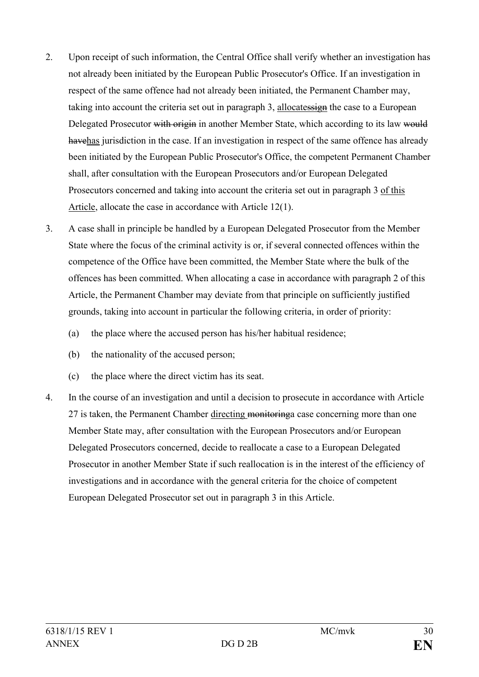- 2. Upon receipt of such information, the Central Office shall verify whether an investigation has not already been initiated by the European Public Prosecutor's Office. If an investigation in respect of the same offence had not already been initiated, the Permanent Chamber may, taking into account the criteria set out in paragraph 3, allocates is the case to a European Delegated Prosecutor with origin in another Member State, which according to its law would havehas jurisdiction in the case. If an investigation in respect of the same offence has already been initiated by the European Public Prosecutor's Office, the competent Permanent Chamber shall, after consultation with the European Prosecutors and/or European Delegated Prosecutors concerned and taking into account the criteria set out in paragraph 3 of this Article, allocate the case in accordance with Article 12(1).
- 3. A case shall in principle be handled by a European Delegated Prosecutor from the Member State where the focus of the criminal activity is or, if several connected offences within the competence of the Office have been committed, the Member State where the bulk of the offences has been committed. When allocating a case in accordance with paragraph 2 of this Article, the Permanent Chamber may deviate from that principle on sufficiently justified grounds, taking into account in particular the following criteria, in order of priority:
	- (a) the place where the accused person has his/her habitual residence;
	- (b) the nationality of the accused person;
	- (c) the place where the direct victim has its seat.
- 4. In the course of an investigation and until a decision to prosecute in accordance with Article 27 is taken, the Permanent Chamber directing monitoringa case concerning more than one Member State may, after consultation with the European Prosecutors and/or European Delegated Prosecutors concerned, decide to reallocate a case to a European Delegated Prosecutor in another Member State if such reallocation is in the interest of the efficiency of investigations and in accordance with the general criteria for the choice of competent European Delegated Prosecutor set out in paragraph 3 in this Article.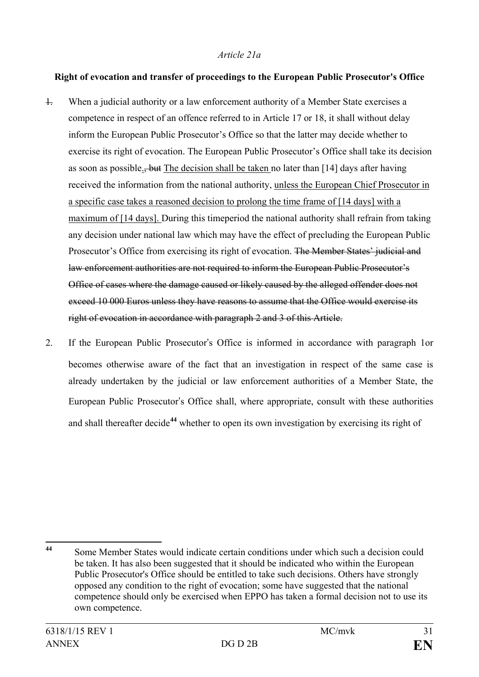### *Article 21a*

### **Right of evocation and transfer of proceedings to the European Public Prosecutor's Office**

- 1. When a judicial authority or a law enforcement authority of a Member State exercises a competence in respect of an offence referred to in Article 17 or 18, it shall without delay inform the European Public Prosecutor's Office so that the latter may decide whether to exercise its right of evocation. The European Public Prosecutor's Office shall take its decision as soon as possible., but The decision shall be taken no later than [14] days after having received the information from the national authority, unless the European Chief Prosecutor in a specific case takes a reasoned decision to prolong the time frame of [14 days] with a maximum of [14 days]. During this timeperiod the national authority shall refrain from taking any decision under national law which may have the effect of precluding the European Public Prosecutor's Office from exercising its right of evocation. The Member States' judicial and law enforcement authorities are not required to inform the European Public Prosecutor's Office of cases where the damage caused or likely caused by the alleged offender does not exceed 10 000 Euros unless they have reasons to assume that the Office would exercise its right of evocation in accordance with paragraph 2 and 3 of this Article.
- 2. If the European Public Prosecutor's Office is informed in accordance with paragraph 1or becomes otherwise aware of the fact that an investigation in respect of the same case is already undertaken by the judicial or law enforcement authorities of a Member State, the European Public Prosecutor's Office shall, where appropriate, consult with these authorities and shall thereafter decide**[44](#page-35-0)** whether to open its own investigation by exercising its right of

<span id="page-35-0"></span>Some Member States would indicate certain conditions under which such a decision could be taken. It has also been suggested that it should be indicated who within the European Public Prosecutor's Office should be entitled to take such decisions. Others have strongly opposed any condition to the right of evocation; some have suggested that the national competence should only be exercised when EPPO has taken a formal decision not to use its own competence. 44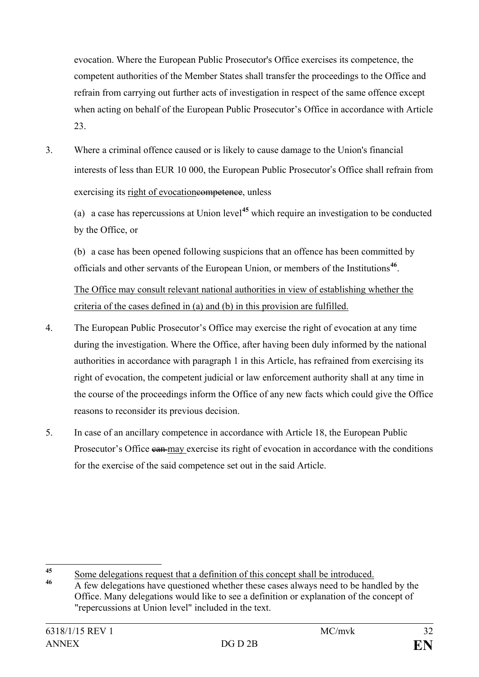evocation. Where the European Public Prosecutor's Office exercises its competence, the competent authorities of the Member States shall transfer the proceedings to the Office and refrain from carrying out further acts of investigation in respect of the same offence except when acting on behalf of the European Public Prosecutor's Office in accordance with Article 23.

3. Where a criminal offence caused or is likely to cause damage to the Union's financial interests of less than EUR 10 000, the European Public Prosecutor's Office shall refrain from exercising its right of evocationes exercising its right of evocation es

(a) a case has repercussions at Union level**[45](#page-36-0)** which require an investigation to be conducted by the Office, or

(b) a case has been opened following suspicions that an offence has been committed by officials and other servants of the European Union, or members of the Institutions**[46](#page-36-1)**.

The Office may consult relevant national authorities in view of establishing whether the criteria of the cases defined in (a) and (b) in this provision are fulfilled.

- 4. The European Public Prosecutor's Office may exercise the right of evocation at any time during the investigation. Where the Office, after having been duly informed by the national authorities in accordance with paragraph 1 in this Article, has refrained from exercising its right of evocation, the competent judicial or law enforcement authority shall at any time in the course of the proceedings inform the Office of any new facts which could give the Office reasons to reconsider its previous decision.
- 5. In case of an ancillary competence in accordance with Article 18, the European Public Prosecutor's Office can may exercise its right of evocation in accordance with the conditions for the exercise of the said competence set out in the said Article.

<span id="page-36-0"></span><sup>&</sup>lt;sup>45</sup> Some delegations request that a definition of this concept shall be introduced. 45

<span id="page-36-1"></span>**<sup>46</sup>** A few delegations have questioned whether these cases always need to be handled by the Office. Many delegations would like to see a definition or explanation of the concept of "repercussions at Union level" included in the text.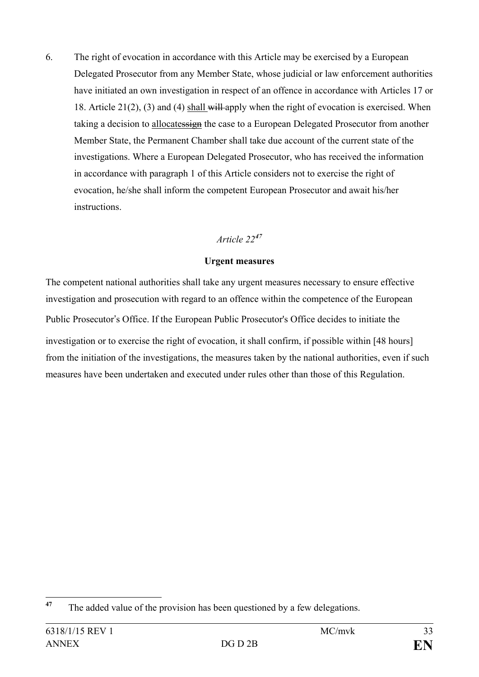6. The right of evocation in accordance with this Article may be exercised by a European Delegated Prosecutor from any Member State, whose judicial or law enforcement authorities have initiated an own investigation in respect of an offence in accordance with Articles 17 or 18. Article 21(2), (3) and (4) shall will apply when the right of evocation is exercised. When taking a decision to allocatessign the case to a European Delegated Prosecutor from another Member State, the Permanent Chamber shall take due account of the current state of the investigations. Where a European Delegated Prosecutor, who has received the information in accordance with paragraph 1 of this Article considers not to exercise the right of evocation, he/she shall inform the competent European Prosecutor and await his/her instructions.

# *Article 22[47](#page-37-0)*

# **Urgent measures**

The competent national authorities shall take any urgent measures necessary to ensure effective investigation and prosecution with regard to an offence within the competence of the European Public Prosecutor's Office. If the European Public Prosecutor's Office decides to initiate the investigation or to exercise the right of evocation, it shall confirm, if possible within [48 hours] from the initiation of the investigations, the measures taken by the national authorities, even if such measures have been undertaken and executed under rules other than those of this Regulation.

<span id="page-37-0"></span>The added value of the provision has been questioned by a few delegations.  $47$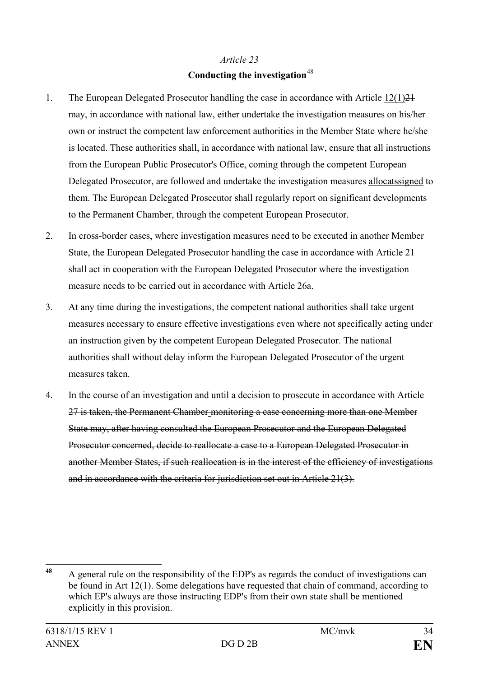# **Conducting the investigation**[48](#page-38-0)

- 1. The European Delegated Prosecutor handling the case in accordance with Article 12(1)21 may, in accordance with national law, either undertake the investigation measures on his/her own or instruct the competent law enforcement authorities in the Member State where he/she is located. These authorities shall, in accordance with national law, ensure that all instructions from the European Public Prosecutor's Office, coming through the competent European Delegated Prosecutor, are followed and undertake the investigation measures allocats signed to them. The European Delegated Prosecutor shall regularly report on significant developments to the Permanent Chamber, through the competent European Prosecutor.
- 2. In cross-border cases, where investigation measures need to be executed in another Member State, the European Delegated Prosecutor handling the case in accordance with Article 21 shall act in cooperation with the European Delegated Prosecutor where the investigation measure needs to be carried out in accordance with Article 26a.
- 3. At any time during the investigations, the competent national authorities shall take urgent measures necessary to ensure effective investigations even where not specifically acting under an instruction given by the competent European Delegated Prosecutor. The national authorities shall without delay inform the European Delegated Prosecutor of the urgent measures taken.
- 4. In the course of an investigation and until a decision to prosecute in accordance with Article 27 is taken, the Permanent Chamber monitoring a case concerning more than one Member State may, after having consulted the European Prosecutor and the European Delegated Prosecutor concerned, decide to reallocate a case to a European Delegated Prosecutor in another Member States, if such reallocation is in the interest of the efficiency of investigations and in accordance with the criteria for jurisdiction set out in Article 21(3).

<span id="page-38-0"></span>**<sup>48</sup>** A general rule on the responsibility of the EDP's as regards the conduct of investigations can be found in Art 12(1). Some delegations have requested that chain of command, according to which EP's always are those instructing EDP's from their own state shall be mentioned explicitly in this provision. 48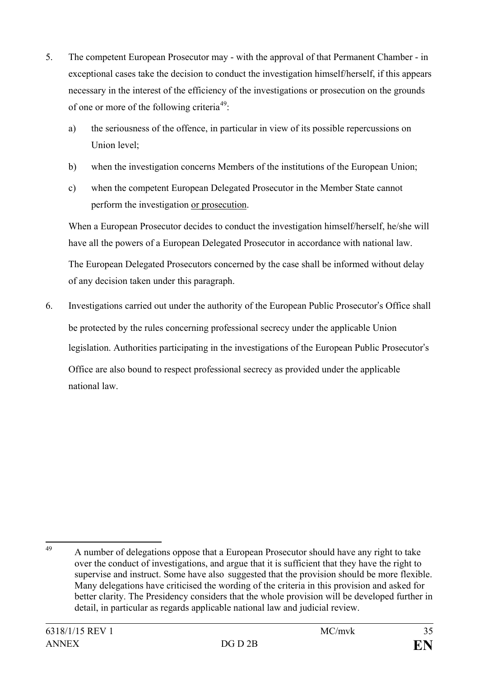- 5. The competent European Prosecutor may with the approval of that Permanent Chamber in exceptional cases take the decision to conduct the investigation himself/herself, if this appears necessary in the interest of the efficiency of the investigations or prosecution on the grounds of one or more of the following criteria<sup>49</sup>:
	- a) the seriousness of the offence, in particular in view of its possible repercussions on Union level;
	- b) when the investigation concerns Members of the institutions of the European Union;
	- c) when the competent European Delegated Prosecutor in the Member State cannot perform the investigation or prosecution.

When a European Prosecutor decides to conduct the investigation himself/herself, he/she will have all the powers of a European Delegated Prosecutor in accordance with national law.

The European Delegated Prosecutors concerned by the case shall be informed without delay of any decision taken under this paragraph.

6. Investigations carried out under the authority of the European Public Prosecutor's Office shall be protected by the rules concerning professional secrecy under the applicable Union legislation. Authorities participating in the investigations of the European Public Prosecutor's Office are also bound to respect professional secrecy as provided under the applicable national law.

<span id="page-39-0"></span>A number of delegations oppose that a European Prosecutor should have any right to take over the conduct of investigations, and argue that it is sufficient that they have the right to supervise and instruct. Some have also suggested that the provision should be more flexible. Many delegations have criticised the wording of the criteria in this provision and asked for better clarity. The Presidency considers that the whole provision will be developed further in detail, in particular as regards applicable national law and judicial review. 49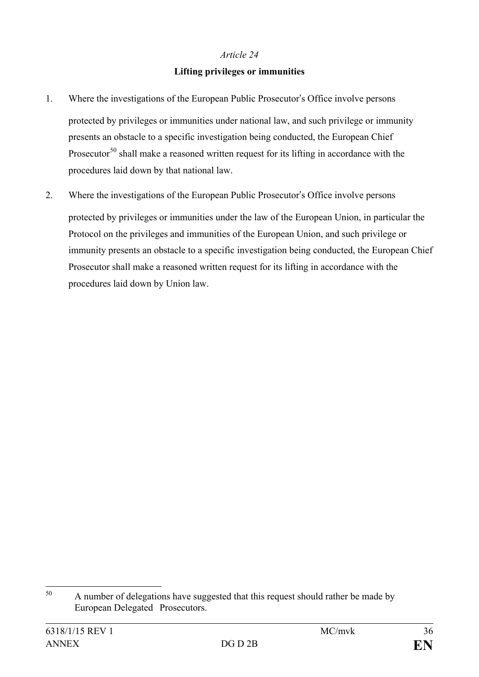### **Lifting privileges or immunities**

- 1. Where the investigations of the European Public Prosecutor's Office involve persons protected by privileges or immunities under national law, and such privilege or immunity presents an obstacle to a specific investigation being conducted, the European Chief Prosecutor<sup>[50](#page-40-0)</sup> shall make a reasoned written request for its lifting in accordance with the procedures laid down by that national law.
- 2. Where the investigations of the European Public Prosecutor's Office involve persons protected by privileges or immunities under the law of the European Union, in particular the Protocol on the privileges and immunities of the European Union, and such privilege or immunity presents an obstacle to a specific investigation being conducted, the European Chief Prosecutor shall make a reasoned written request for its lifting in accordance with the procedures laid down by Union law.

<span id="page-40-0"></span>A number of delegations have suggested that this request should rather be made by European Delegated Prosecutors. 50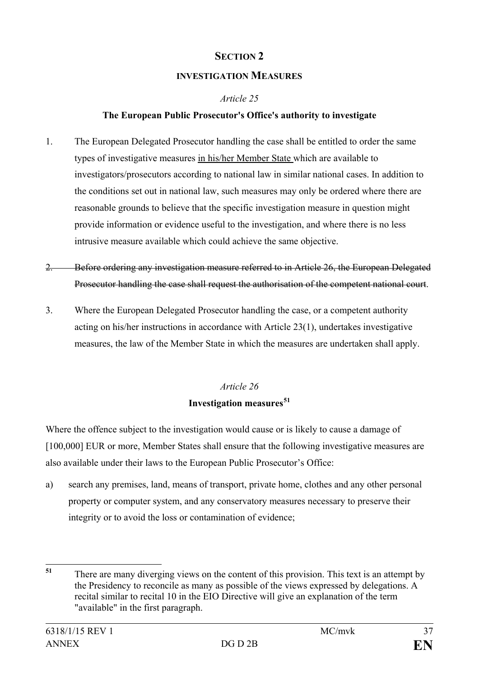# **SECTION 2**

# **INVESTIGATION MEASURES**

# *Article 25*

# **The European Public Prosecutor's Office's authority to investigate**

- 1. The European Delegated Prosecutor handling the case shall be entitled to order the same types of investigative measures in his/her Member State which are available to investigators/prosecutors according to national law in similar national cases. In addition to the conditions set out in national law, such measures may only be ordered where there are reasonable grounds to believe that the specific investigation measure in question might provide information or evidence useful to the investigation, and where there is no less intrusive measure available which could achieve the same objective.
- 2. Before ordering any investigation measure referred to in Article 26, the European Delegated Prosecutor handling the case shall request the authorisation of the competent national court.
- 3. Where the European Delegated Prosecutor handling the case, or a competent authority acting on his/her instructions in accordance with Article 23(1), undertakes investigative measures, the law of the Member State in which the measures are undertaken shall apply.

# *Article 26* **Investigation measures[51](#page-41-0)**

Where the offence subject to the investigation would cause or is likely to cause a damage of [100,000] EUR or more, Member States shall ensure that the following investigative measures are also available under their laws to the European Public Prosecutor's Office:

a) search any premises, land, means of transport, private home, clothes and any other personal property or computer system, and any conservatory measures necessary to preserve their integrity or to avoid the loss or contamination of evidence;

<span id="page-41-0"></span>**<sup>51</sup>** There are many diverging views on the content of this provision. This text is an attempt by the Presidency to reconcile as many as possible of the views expressed by delegations. A recital similar to recital 10 in the EIO Directive will give an explanation of the term "available" in the first paragraph. 51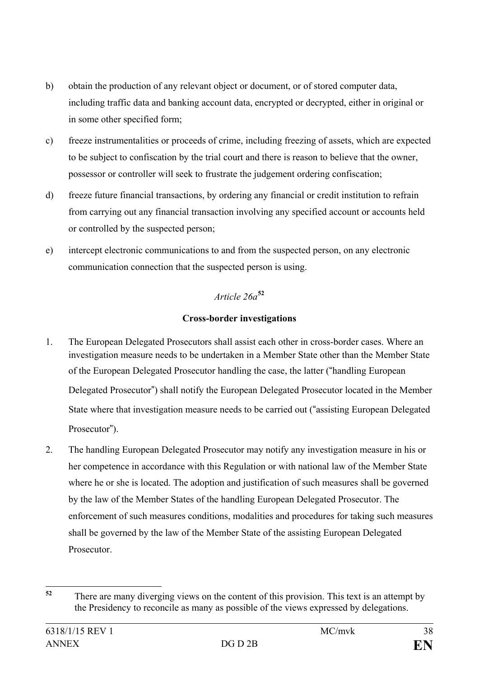- b) obtain the production of any relevant object or document, or of stored computer data, including traffic data and banking account data, encrypted or decrypted, either in original or in some other specified form;
- c) freeze instrumentalities or proceeds of crime, including freezing of assets, which are expected to be subject to confiscation by the trial court and there is reason to believe that the owner, possessor or controller will seek to frustrate the judgement ordering confiscation;
- d) freeze future financial transactions, by ordering any financial or credit institution to refrain from carrying out any financial transaction involving any specified account or accounts held or controlled by the suspected person;
- e) intercept electronic communications to and from the suspected person, on any electronic communication connection that the suspected person is using.

# *Article 26a***[52](#page-42-0)**

# **Cross-border investigations**

- 1. The European Delegated Prosecutors shall assist each other in cross-border cases. Where an investigation measure needs to be undertaken in a Member State other than the Member State of the European Delegated Prosecutor handling the case, the latter ("handling European Delegated Prosecutor") shall notify the European Delegated Prosecutor located in the Member State where that investigation measure needs to be carried out ("assisting European Delegated Prosecutor").
- 2. The handling European Delegated Prosecutor may notify any investigation measure in his or her competence in accordance with this Regulation or with national law of the Member State where he or she is located. The adoption and justification of such measures shall be governed by the law of the Member States of the handling European Delegated Prosecutor. The enforcement of such measures conditions, modalities and procedures for taking such measures shall be governed by the law of the Member State of the assisting European Delegated Prosecutor.

<span id="page-42-0"></span>**<sup>52</sup>** There are many diverging views on the content of this provision. This text is an attempt by the Presidency to reconcile as many as possible of the views expressed by delegations. 52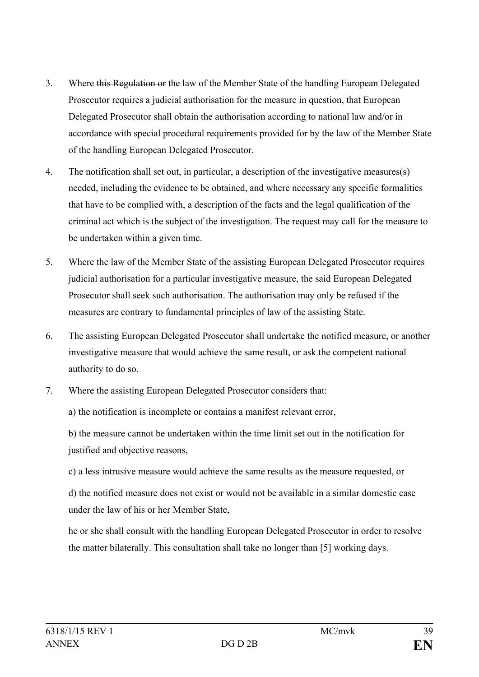- 3. Where this Regulation or the law of the Member State of the handling European Delegated Prosecutor requires a judicial authorisation for the measure in question, that European Delegated Prosecutor shall obtain the authorisation according to national law and/or in accordance with special procedural requirements provided for by the law of the Member State of the handling European Delegated Prosecutor.
- 4. The notification shall set out, in particular, a description of the investigative measures(s) needed, including the evidence to be obtained, and where necessary any specific formalities that have to be complied with, a description of the facts and the legal qualification of the criminal act which is the subject of the investigation. The request may call for the measure to be undertaken within a given time.
- 5. Where the law of the Member State of the assisting European Delegated Prosecutor requires judicial authorisation for a particular investigative measure, the said European Delegated Prosecutor shall seek such authorisation. The authorisation may only be refused if the measures are contrary to fundamental principles of law of the assisting State.
- 6. The assisting European Delegated Prosecutor shall undertake the notified measure, or another investigative measure that would achieve the same result, or ask the competent national authority to do so.
- 7. Where the assisting European Delegated Prosecutor considers that:

a) the notification is incomplete or contains a manifest relevant error,

b) the measure cannot be undertaken within the time limit set out in the notification for justified and objective reasons,

c) a less intrusive measure would achieve the same results as the measure requested, or

d) the notified measure does not exist or would not be available in a similar domestic case under the law of his or her Member State,

he or she shall consult with the handling European Delegated Prosecutor in order to resolve the matter bilaterally. This consultation shall take no longer than [5] working days.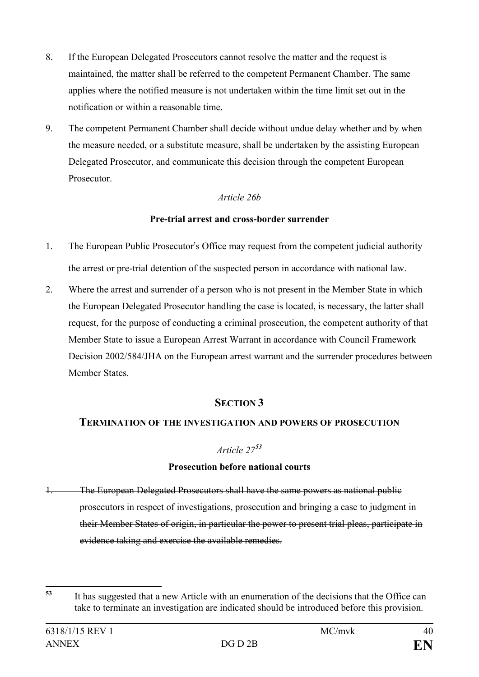- 8. If the European Delegated Prosecutors cannot resolve the matter and the request is maintained, the matter shall be referred to the competent Permanent Chamber. The same applies where the notified measure is not undertaken within the time limit set out in the notification or within a reasonable time.
- 9. The competent Permanent Chamber shall decide without undue delay whether and by when the measure needed, or a substitute measure, shall be undertaken by the assisting European Delegated Prosecutor, and communicate this decision through the competent European **Prosecutor**

# *Article 26b*

# **Pre-trial arrest and cross-border surrender**

- 1. The European Public Prosecutor's Office may request from the competent judicial authority the arrest or pre-trial detention of the suspected person in accordance with national law.
- 2. Where the arrest and surrender of a person who is not present in the Member State in which the European Delegated Prosecutor handling the case is located, is necessary, the latter shall request, for the purpose of conducting a criminal prosecution, the competent authority of that Member State to issue a European Arrest Warrant in accordance with Council Framework Decision 2002/584/JHA on the European arrest warrant and the surrender procedures between Member States.

# **SECTION 3**

# **TERMINATION OF THE INVESTIGATION AND POWERS OF PROSECUTION**

# *Article 27[53](#page-44-0)*

# **Prosecution before national courts**

1. The European Delegated Prosecutors shall have the same powers as national public prosecutors in respect of investigations, prosecution and bringing a case to judgment in their Member States of origin, in particular the power to present trial pleas, participate in evidence taking and exercise the available remedies.

<span id="page-44-0"></span>**<sup>53</sup>** It has suggested that a new Article with an enumeration of the decisions that the Office can take to terminate an investigation are indicated should be introduced before this provision. 53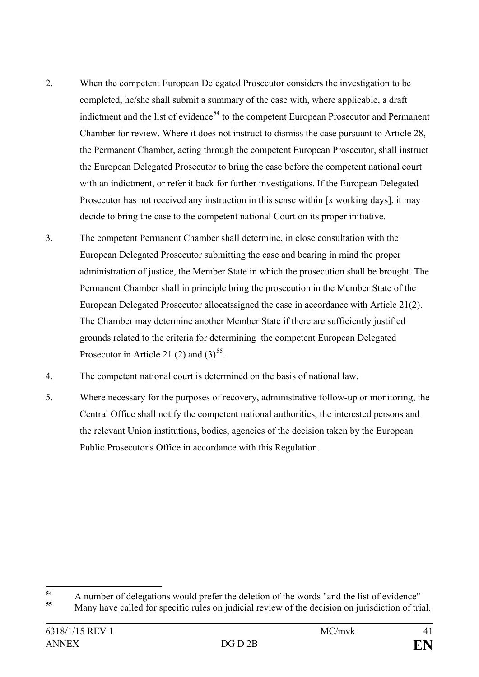- 2. When the competent European Delegated Prosecutor considers the investigation to be completed, he/she shall submit a summary of the case with, where applicable, a draft indictment and the list of evidence<sup>[54](#page-45-0)</sup> to the competent European Prosecutor and Permanent Chamber for review. Where it does not instruct to dismiss the case pursuant to Article 28, the Permanent Chamber, acting through the competent European Prosecutor, shall instruct the European Delegated Prosecutor to bring the case before the competent national court with an indictment, or refer it back for further investigations. If the European Delegated Prosecutor has not received any instruction in this sense within [x working days], it may decide to bring the case to the competent national Court on its proper initiative.
- 3. The competent Permanent Chamber shall determine, in close consultation with the European Delegated Prosecutor submitting the case and bearing in mind the proper administration of justice, the Member State in which the prosecution shall be brought. The Permanent Chamber shall in principle bring the prosecution in the Member State of the European Delegated Prosecutor allocatssigned the case in accordance with Article 21(2). The Chamber may determine another Member State if there are sufficiently justified grounds related to the criteria for determining the competent European Delegated Prosecutor in Article 21 (2) and  $(3)^{55}$  $(3)^{55}$  $(3)^{55}$ .
- 4. The competent national court is determined on the basis of national law.
- 5. Where necessary for the purposes of recovery, administrative follow-up or monitoring, the Central Office shall notify the competent national authorities, the interested persons and the relevant Union institutions, bodies, agencies of the decision taken by the European Public Prosecutor's Office in accordance with this Regulation.

<span id="page-45-0"></span><sup>&</sup>lt;sup>54</sup> A number of delegations would prefer the deletion of the words "and the list of evidence" 54

<span id="page-45-1"></span>**<sup>55</sup>** Many have called for specific rules on judicial review of the decision on jurisdiction of trial.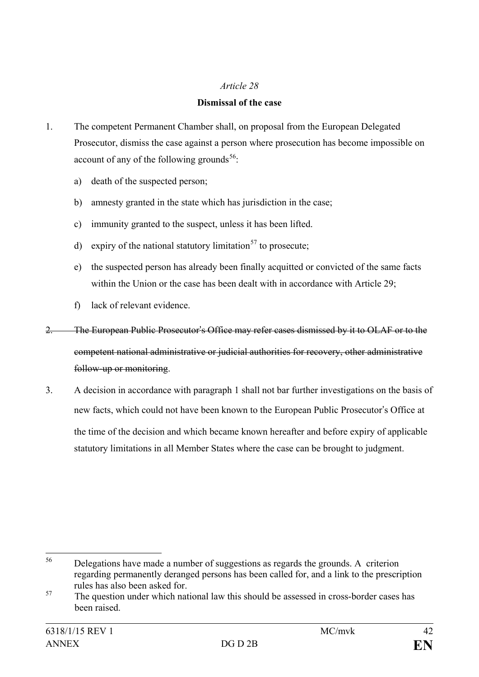# **Dismissal of the case**

- 1. The competent Permanent Chamber shall, on proposal from the European Delegated Prosecutor, dismiss the case against a person where prosecution has become impossible on account of any of the following grounds<sup>[56](#page-46-0)</sup>:
	- a) death of the suspected person;
	- b) amnesty granted in the state which has jurisdiction in the case;
	- c) immunity granted to the suspect, unless it has been lifted.
	- d) expiry of the national statutory limitation<sup>[57](#page-46-1)</sup> to prosecute;
	- e) the suspected person has already been finally acquitted or convicted of the same facts within the Union or the case has been dealt with in accordance with Article 29;
	- f) lack of relevant evidence.

2. The European Public Prosecutor's Office may refer cases dismissed by it to OLAF or to the competent national administrative or judicial authorities for recovery, other administrative follow-up or monitoring.

3. A decision in accordance with paragraph 1 shall not bar further investigations on the basis of new facts, which could not have been known to the European Public Prosecutor's Office at the time of the decision and which became known hereafter and before expiry of applicable

statutory limitations in all Member States where the case can be brought to judgment.

<span id="page-46-0"></span><sup>56</sup> Delegations have made a number of suggestions as regards the grounds. A criterion regarding permanently deranged persons has been called for, and a link to the prescription rules has also been asked for.<br>The question under which national law this should be assessed in cross-border cases has 56

<span id="page-46-1"></span>been raised.